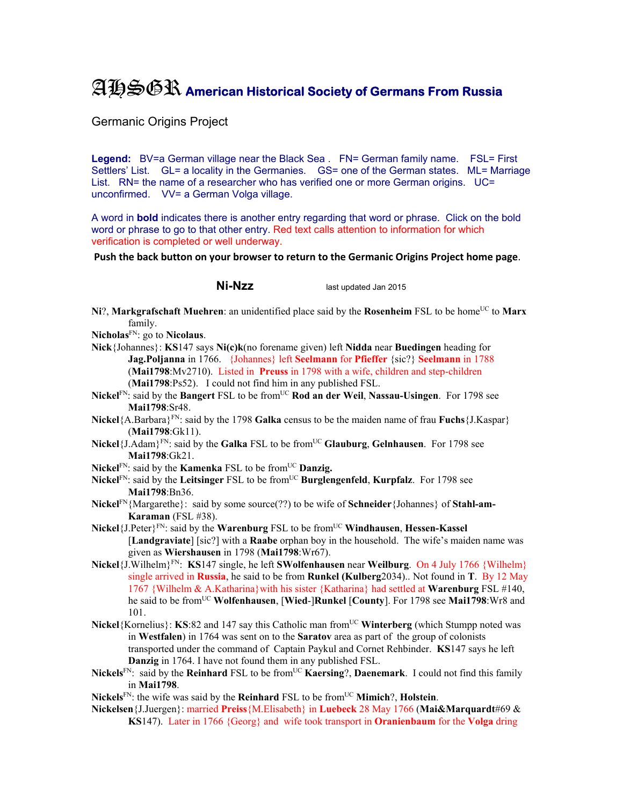## AHSGR **American Historical Society of Germans From Russia**

Germanic Origins Project

Legend: BV=a German village near the Black Sea . FN= German family name. FSL= First Settlers' List. GL= a locality in the Germanies. GS= one of the German states. ML= Marriage List. RN= the name of a researcher who has verified one or more German origins. UC= unconfirmed. VV= a German Volga village.

A word in **bold** indicates there is another entry regarding that word or phrase. Click on the bold word or phrase to go to that other entry. Red text calls attention to information for which verification is completed or well underway.

**Push the back button on your browser to return to the Germanic Origins Project home page**.

**Ni-Nzz** last updated Jan 2015

- **Ni**?, **Markgrafschaft Muehren**: an unidentified place said by the **Rosenheim** FSL to be home<sup>UC</sup> to **Marx** family.
- **Nicholas**FN: go to **Nicolaus**.
- **Nick**{Johannes}: **KS**147 says **Ni(c)k**(no forename given) left **Nidda** near **Buedingen** heading for **Jag.Poljanna** in 1766. {Johannes} left **Seelmann** for **Pfieffer** {sic?} **Seelmann** in 1788 (**Mai1798**:Mv2710). Listed in **Preuss** in 1798 with a wife, children and step-children (**Mai1798**:Ps52). I could not find him in any published FSL.
- **Nickel**FN: said by the **Bangert** FSL to be fromUC **Rod an der Weil**, **Nassau-Usingen**. For 1798 see **Mai1798**:Sr48.
- **Nickel**{A.Barbara}FN: said by the 1798 **Galka** census to be the maiden name of frau **Fuchs**{J.Kaspar} (**Mai1798**:Gk11).
- **Nickel**{J.Adam}<sup>FN</sup>: said by the **Galka** FSL to be from<sup>UC</sup> **Glauburg**, **Gelnhausen**. For 1798 see **Mai1798**:Gk21.
- **Nickel**<sup>FN</sup>: said by the **Kamenka** FSL to be from<sup>UC</sup> **Danzig.**
- **Nickel**FN: said by the **Leitsinger** FSL to be fromUC **Burglengenfeld**, **Kurpfalz**. For 1798 see **Mai1798**:Bn36.
- **Nickel**FN{Margarethe}: said by some source(??) to be wife of **Schneider**{Johannes} of **Stahl-am-Karaman** (FSL #38).
- **Nickel**{J.Peter}FN: said by the **Warenburg** FSL to be fromUC **Windhausen**, **Hessen-Kassel** [**Landgraviate**] [sic?] with a **Raabe** orphan boy in the household. The wife's maiden name was given as **Wiershausen** in 1798 (**Mai1798**:Wr67).
- **Nickel**{J.Wilhelm}FN: **KS**147 single, he left **SWolfenhausen** near **Weilburg**. On 4 July 1766 {Wilhelm} single arrived in **Russia**, he said to be from **Runkel (Kulberg**2034).. Not found in **T**. By 12 May 1767 {Wilhelm & A.Katharina}with his sister {Katharina} had settled at **Warenburg** FSL #140, he said to be fromUC **Wolfenhausen**, [**Wied**-]**Runkel** [**County**]. For 1798 see **Mai1798**:Wr8 and 101.
- **Nickel**{Kornelius}: **KS**:82 and 147 say this Catholic man from<sup>UC</sup> Winterberg (which Stumpp noted was in **Westfalen**) in 1764 was sent on to the **Saratov** area as part of the group of colonists transported under the command of Captain Paykul and Cornet Rehbinder. **KS**147 says he left **Danzig** in 1764. I have not found them in any published FSL.
- **Nickels**FN: said by the **Reinhard** FSL to be fromUC **Kaersing**?, **Daenemark**. I could not find this family in **Mai1798**.
- **Nickels**<sup>FN</sup>: the wife was said by the **Reinhard** FSL to be from<sup>UC</sup> **Mimich**?, **Holstein**.
- **Nickelsen**{J.Juergen}: married **Preiss**{M.Elisabeth} in **Luebeck** 28 May 1766 (**Mai&Marquardt**#69 & **KS**147). Later in 1766 {Georg} and wife took transport in **Oranienbaum** for the **Volga** dring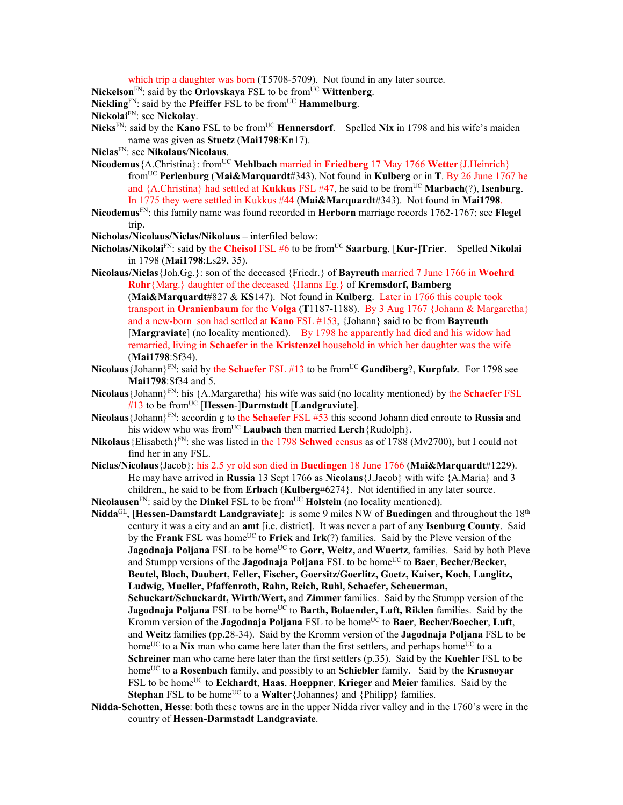which trip a daughter was born (**T**5708-5709). Not found in any later source.

**Nickelson**<sup>FN</sup>: said by the **Orlovskaya** FSL to be from<sup>UC</sup> Wittenberg.

**Nickling**<sup>FN</sup>: said by the **Pfeiffer** FSL to be from<sup>UC</sup> **Hammelburg**.

**Nickolai**FN: see **Nickolay**.

**Nicks**<sup>FN</sup>: said by the **Kano** FSL to be from<sup>UC</sup> **Hennersdorf**. Spelled **Nix** in 1798 and his wife's maiden name was given as **Stuetz** (**Mai1798**:Kn17).

- **Niclas**FN: see **Nikolaus**/**Nicolaus**.
- **Nicodemus** {A.Christina}: from<sup>UC</sup> **Mehlbach** married in **Friedberg** 17 May 1766 **Wetter** {J.Heinrich} fromUC **Perlenburg** (**Mai&Marquardt**#343). Not found in **Kulberg** or in **T**. By 26 June 1767 he and {A.Christina} had settled at **Kukkus** FSL #47, he said to be from<sup>UC</sup> **Marbach**(?), **Isenburg**. In 1775 they were settled in Kukkus #44 (**Mai&Marquardt**#343). Not found in **Mai1798**.
- **Nicodemus**FN: this family name was found recorded in **Herborn** marriage records 1762-1767; see **Flegel** trip.
- **Nicholas/Nicolaus/Niclas/Nikolaus** interfiled below:
- **Nicholas/Nikolai**FN: said by the **Cheisol** FSL #6 to be fromUC **Saarburg**, [**Kur-**]**Trier**. Spelled **Nikolai** in 1798 (**Mai1798**:Ls29, 35).
- **Nicolaus/Niclas**{Joh.Gg.}: son of the deceased {Friedr.} of **Bayreuth** married 7 June 1766 in **Woehrd Rohr**{Marg.} daughter of the deceased {Hanns Eg.} of **Kremsdorf, Bamberg**  (**Mai&Marquardt**#827 & **KS**147). Not found in **Kulberg**. Later in 1766 this couple took transport in **Oranienbaum** for the **Volga** (**T**1187-1188). By 3 Aug 1767 {Johann & Margaretha} and a new-born son had settled at **Kano** FSL #153, {Johann} said to be from **Bayreuth** [**Margraviate**] (no locality mentioned). By 1798 he apparently had died and his widow had remarried, living in **Schaefer** in the **Kristenzel** household in which her daughter was the wife (**Mai1798**:Sf34).
- **Nicolaus**{Johann}FN: said by the **Schaefer** FSL #13 to be fromUC **Gandiberg**?, **Kurpfalz**. For 1798 see **Mai1798**:Sf34 and 5.
- **Nicolaus**{Johann}FN: his {A.Margaretha} his wife was said (no locality mentioned) by the **Schaefer** FSL #13 to be fromUC [**Hessen**-]**Darmstadt** [**Landgraviate**].
- **Nicolaus**{Johann}FN: accordin g to the **Schaefer** FSL #53 this second Johann died enroute to **Russia** and his widow who was from<sup>UC</sup> Laubach then married Lerch {Rudolph}.
- **Nikolaus**{Elisabeth}FN: she was listed in the 1798 **Schwed** census as of 1788 (Mv2700), but I could not find her in any FSL.
- **Niclas/Nicolaus**{Jacob}: his 2.5 yr old son died in **Buedingen** 18 June 1766 (**Mai&Marquardt**#1229). He may have arrived in **Russia** 13 Sept 1766 as **Nicolaus**{J.Jacob} with wife {A.Maria} and 3 children,, he said to be from **Erbach** (**Kulberg**#6274}. Not identified in any later source. **Nicolausen**<sup>FN</sup>: said by the **Dinkel** FSL to be from<sup>UC</sup> **Holstein** (no locality mentioned).

- **Nidda**GL, [**Hessen-Damstardt Landgraviate**]: is some 9 miles NW of **Buedingen** and throughout the 18th century it was a city and an **amt** [i.e. district]. It was never a part of any **Isenburg County**. Said by the **Frank** FSL was home<sup>UC</sup> to **Frick** and **Irk**(?) families. Said by the Pleve version of the **Jagodnaja Poljana** FSL to be home<sup>UC</sup> to Gorr, Weitz, and Wuertz, families. Said by both Pleve and Stumpp versions of the **Jagodnaja Poljana** FSL to be home<sup>UC</sup> to **Baer**, **Becher/Becker**, **Beutel, Bloch, Daubert, Feller, Fischer, Goersitz/Goerlitz, Goetz, Kaiser, Koch, Langlitz, Ludwig, Mueller, Pfaffenroth, Rahn, Reich, Ruhl, Schaefer, Scheuerman, Schuckart/Schuckardt, Wirth/Wert,** and **Zimmer** families. Said by the Stumpp version of the **Jagodnaja Poljana** FSL to be home<sup>UC</sup> to **Barth, Bolaender, Luft, Riklen** families. Said by the Kromm version of the **Jagodnaja Poljana** FSL to be home<sup>UC</sup> to **Baer**, **Becher/Boecher**, **Luft**, and **Weitz** families (pp.28-34). Said by the Kromm version of the **Jagodnaja Poljana** FSL to be home<sup>UC</sup> to a **Nix** man who came here later than the first settlers, and perhaps home<sup>UC</sup> to a **Schreiner** man who came here later than the first settlers (p.35). Said by the **Koehler** FSL to be home<sup>UC</sup> to a **Rosenbach** family, and possibly to an **Schiebler** family. Said by the **Krasnovar** FSL to be home<sup>UC</sup> to **Eckhardt**, **Haas**, **Hoeppner**, **Krieger** and **Meier** families. Said by the
	- **Stephan** FSL to be home<sup>UC</sup> to a **Walter** {Johannes} and  $\{Phi\}$  families.
- **Nidda-Schotten**, **Hesse**: both these towns are in the upper Nidda river valley and in the 1760's were in the country of **Hessen-Darmstadt Landgraviate**.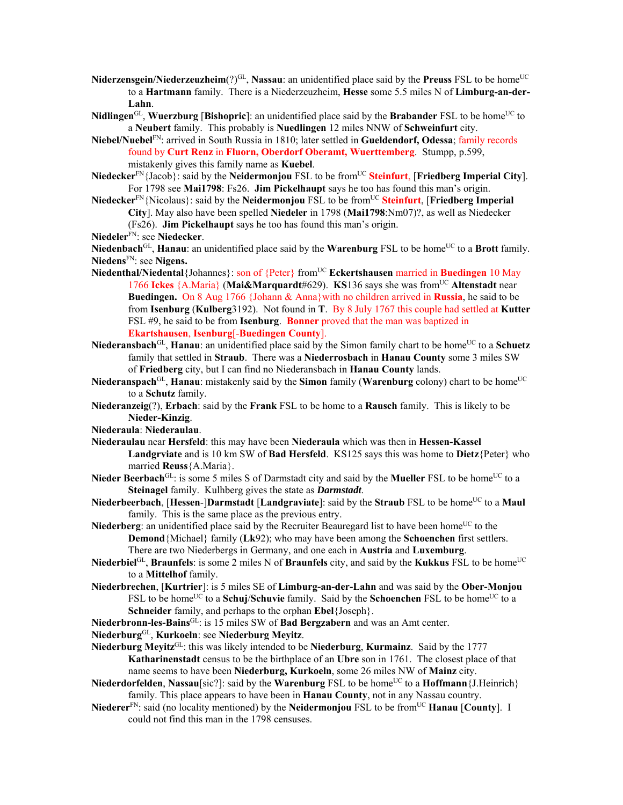- **Niderzensgein/Niederzeuzheim** $(?)^{GL}$ , **Nassau**: an unidentified place said by the **Preuss** FSL to be home<sup>UC</sup> to a **Hartmann** family. There is a Niederzeuzheim, **Hesse** some 5.5 miles N of **Limburg-an-der-Lahn**.
- **Nidlingen**<sup>GL</sup>, **Wuerzburg** [Bishopric]: an unidentified place said by the Brabander FSL to be home<sup>UC</sup> to a **Neubert** family. This probably is **Nuedlingen** 12 miles NNW of **Schweinfurt** city.
- **Niebel/Nuebel**FN: arrived in South Russia in 1810; later settled in **Gueldendorf, Odessa**; family records found by **Curt Renz** in **Fluorn, Oberdorf Oberamt, Wuerttemberg**. Stumpp, p.599, mistakenly gives this family name as **Kuebel**.
- **Niedecker**FN{Jacob}: said by the **Neidermonjou** FSL to be fromUC **Steinfurt**, [**Friedberg Imperial City**]. For 1798 see **Mai1798**: Fs26. **Jim Pickelhaupt** says he too has found this man's origin.
- **Niedecker**<sup>FN</sup>{Nicolaus}: said by the **Neidermonjou** FSL to be from<sup>UC</sup> Steinfurt, [Friedberg Imperial **City**]. May also have been spelled **Niedeler** in 1798 (**Mai1798**:Nm07)?, as well as Niedecker
	- (Fs26). **Jim Pickelhaupt** says he too has found this man's origin.
- **Niedeler**FN: see **Niedecker**.

Niedenbach<sup>GL</sup>, **Hanau**: an unidentified place said by the **Warenburg** FSL to be home<sup>UC</sup> to a Brott family. **Niedens**FN: see **Nigens.** 

- **Niedenthal/Niedental**{Johannes}: son of {Peter} from<sup>UC</sup> **Eckertshausen** married in **Buedingen** 10 May 1766 **Ickes** {A.Maria} (**Mai&Marquardt**#629). **KS**136 says she was fromUC **Altenstadt** near **Buedingen.** On 8 Aug 1766 {Johann & Anna}with no children arrived in **Russia**, he said to be from **Isenburg** (**Kulberg**3192). Not found in **T**. By 8 July 1767 this couple had settled at **Kutter** FSL #9, he said to be from **Isenburg**. **Bonner** proved that the man was baptized in **Ekartshausen**, **Isenburg**[-**Buedingen County**].
- Niederansbach<sup>GL</sup>, Hanau: an unidentified place said by the Simon family chart to be home<sup>UC</sup> to a Schuetz family that settled in **Straub**. There was a **Niederrosbach** in **Hanau County** some 3 miles SW of **Friedberg** city, but I can find no Niederansbach in **Hanau County** lands.
- Niederanspach<sup>GL</sup>, **Hanau**: mistakenly said by the **Simon** family (**Warenburg** colony) chart to be home<sup>UC</sup> to a **Schutz** family.
- **Niederanzeig**(?), **Erbach**: said by the **Frank** FSL to be home to a **Rausch** family. This is likely to be **Nieder-Kinzig**.
- **Niederaula**: **Niederaulau**.
- **Niederaulau** near **Hersfeld**: this may have been **Niederaula** which was then in **Hessen-Kassel Landgrviate** and is 10 km SW of **Bad Hersfeld**. KS125 says this was home to **Dietz**{Peter} who married **Reuss**{A.Maria}.
- Nieder Beerbach<sup>GL</sup>: is some 5 miles S of Darmstadt city and said by the Mueller FSL to be home<sup>UC</sup> to a **Steinagel** family. Kulhberg gives the state as *Darmstadt*.
- **Niederbeerbach, [Hessen-]Darmstadt [Landgraviate]: said by the Straub FSL to be home<sup>UC</sup> to a Maul** family. This is the same place as the previous entry.
- Niederberg: an unidentified place said by the Recruiter Beauregard list to have been home<sup>UC</sup> to the **Demond**{Michael} family (**Lk**92); who may have been among the **Schoenchen** first settlers. There are two Niederbergs in Germany, and one each in **Austria** and **Luxemburg**.
- **Niederbiel**<sup>GL</sup>, **Braunfels**: is some 2 miles N of **Braunfels** city, and said by the **Kukkus** FSL to be home<sup>UC</sup> to a **Mittelhof** family.
- **Niederbrechen**, [**Kurtrier**]: is 5 miles SE of **Limburg-an-der-Lahn** and was said by the **Ober-Monjou** FSL to be home<sup>UC</sup> to a **Schuj/Schuvie** family. Said by the **Schoenchen** FSL to be home<sup>UC</sup> to a **Schneider** family, and perhaps to the orphan **Ebel**{Joseph}.
- **Niederbronn-les-Bains**GL: is 15 miles SW of **Bad Bergzabern** and was an Amt center.
- **Niederburg**GL, **Kurkoeln**: see **Niederburg Meyitz**.
- **Niederburg Meyitz**GL: this was likely intended to be **Niederburg**, **Kurmainz**. Said by the 1777 **Katharinenstadt** census to be the birthplace of an **Ubre** son in 1761. The closest place of that name seems to have been **Niederburg, Kurkoeln**, some 26 miles NW of **Mainz** city.
- **Niederdorfelden**, **Nassau**[sic?]: said by the **Warenburg** FSL to be home<sup>UC</sup> to a **Hoffmann** {J.Heinrich} family. This place appears to have been in **Hanau County**, not in any Nassau country.
- **Niederer**<sup>FN</sup>: said (no locality mentioned) by the **Neidermonjou** FSL to be from<sup>UC</sup> **Hanau** [County]. I could not find this man in the 1798 censuses.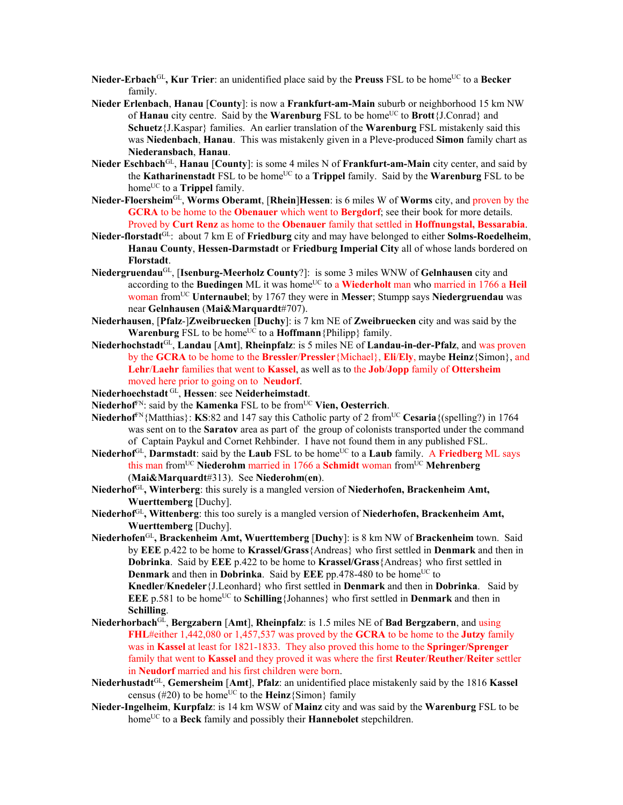- **Nieder-Erbach**<sup>GL</sup>, **Kur Trier**: an unidentified place said by the **Preuss** FSL to be home<sup>UC</sup> to a **Becker** family.
- **Nieder Erlenbach**, **Hanau** [**County**]: is now a **Frankfurt-am-Main** suburb or neighborhood 15 km NW of **Hanau** city centre. Said by the **Warenburg** FSL to be home<sup>UC</sup> to **Brott**{J.Conrad} and **Schuetz**{J.Kaspar} families. An earlier translation of the **Warenburg** FSL mistakenly said this was **Niedenbach**, **Hanau**. This was mistakenly given in a Pleve-produced **Simon** family chart as **Niederansbach**, **Hanau**.
- **Nieder Eschbach**GL, **Hanau** [**County**]: is some 4 miles N of **Frankfurt-am-Main** city center, and said by the **Katharinenstadt** FSL to be home<sup>UC</sup> to a **Trippel** family. Said by the **Warenburg** FSL to be home<sup>UC</sup> to a **Trippel** family.
- **Nieder-Floersheim**GL, **Worms Oberamt**, [**Rhein**]**Hessen**: is 6 miles W of **Worms** city, and proven by the **GCRA** to be home to the **Obenauer** which went to **Bergdorf**; see their book for more details. Proved by **Curt Renz** as home to the **Obenauer** family that settled in **Hoffnungstal, Bessarabia**.
- **Nieder-florstadt**GL: about 7 km E of **Friedburg** city and may have belonged to either **Solms-Roedelheim**, **Hanau County**, **Hessen-Darmstadt** or **Friedburg Imperial City** all of whose lands bordered on **Florstadt**.
- **Niedergruendau**GL, [**Isenburg-Meerholz County**?]: is some 3 miles WNW of **Gelnhausen** city and according to the **Buedingen** ML it was home<sup>UC</sup> to a **Wiederholt** man who married in 1766 a Heil woman fromUC **Unternaubel**; by 1767 they were in **Messer**; Stumpp says **Niedergruendau** was near **Gelnhausen** (**Mai&Marquardt**#707).
- **Niederhausen**, [**Pfalz**-]**Zweibruecken** [**Duchy**]: is 7 km NE of **Zweibruecken** city and was said by the **Warenburg** FSL to be home<sup>UC</sup> to a **Hoffmann** {Philipp} family.
- **Niederhochstadt**GL, **Landau** [**Amt**], **Rheinpfalz**: is 5 miles NE of **Landau-in-der-Pfalz**, and was proven by the **GCRA** to be home to the **Bressler**/**Pressler**{Michael}, **Eli**/**Ely**, maybe **Heinz**{Simon}, and **Lehr**/**Laehr** families that went to **Kassel**, as well as to the **Job**/**Jopp** family of **Ottersheim** moved here prior to going on to **Neudorf**.
- **Niederhoechstadt** GL, **Hessen**: see **Neiderheimstadt**.
- Niederhof<sup>FN</sup>: said by the **Kamenka** FSL to be from<sup>UC</sup> Vien, Oesterrich.
- **Niederhof**<sup>FN</sup>{Matthias}: **KS**:82 and 147 say this Catholic party of 2 from<sup>UC</sup> **Cesaria**{(spelling?) in 1764 was sent on to the **Saratov** area as part of the group of colonists transported under the command of Captain Paykul and Cornet Rehbinder. I have not found them in any published FSL.
- Niederhof<sup>GL</sup>, **Darmstadt**: said by the **Laub** FSL to be home<sup>UC</sup> to a **Laub** family. A **Friedberg** ML says this man from<sup>UC</sup> Niederohm married in 1766 a Schmidt woman from<sup>UC</sup> Mehrenberg (**Mai&Marquardt**#313). See **Niederohm**(**en**).
- **Niederhof**GL**, Winterberg**: this surely is a mangled version of **Niederhofen, Brackenheim Amt, Wuerttemberg** [Duchy].
- **Niederhof**GL**, Wittenberg**: this too surely is a mangled version of **Niederhofen, Brackenheim Amt, Wuerttemberg** [Duchy].
- **Niederhofen**GL**, Brackenheim Amt, Wuerttemberg** [**Duchy**]: is 8 km NW of **Brackenheim** town. Said by **EEE** p.422 to be home to **Krassel/Grass**{Andreas} who first settled in **Denmark** and then in **Dobrinka**. Said by **EEE** p.422 to be home to **Krassel/Grass**{Andreas} who first settled in **Denmark** and then in **Dobrinka**. Said by **EEE** pp.478-480 to be home<sup>UC</sup> to **Knedler**/**Knedeler**{J.Leonhard} who first settled in **Denmark** and then in **Dobrinka**. Said by **EEE** p.581 to be home<sup>UC</sup> to **Schilling**{Johannes} who first settled in **Denmark** and then in **Schilling**.
- **Niederhorbach**GL, **Bergzabern** [**Amt**], **Rheinpfalz**: is 1.5 miles NE of **Bad Bergzabern**, and using **FHL**#either 1,442,080 or 1,457,537 was proved by the **GCRA** to be home to the **Jutzy** family was in **Kassel** at least for 1821-1833. They also proved this home to the **Springer/Sprenger** family that went to **Kassel** and they proved it was where the first **Reuter**/**Reuther**/**Reiter** settler in **Neudorf** married and his first children were born.
- **Niederhustadt**GL, **Gemersheim** [**Amt**], **Pfalz**: an unidentified place mistakenly said by the 1816 **Kassel** census (#20) to be home<sup>UC</sup> to the **Heinz**{Simon} family
- **Nieder-Ingelheim**, **Kurpfalz**: is 14 km WSW of **Mainz** city and was said by the **Warenburg** FSL to be homeUC to a **Beck** family and possibly their **Hannebolet** stepchildren.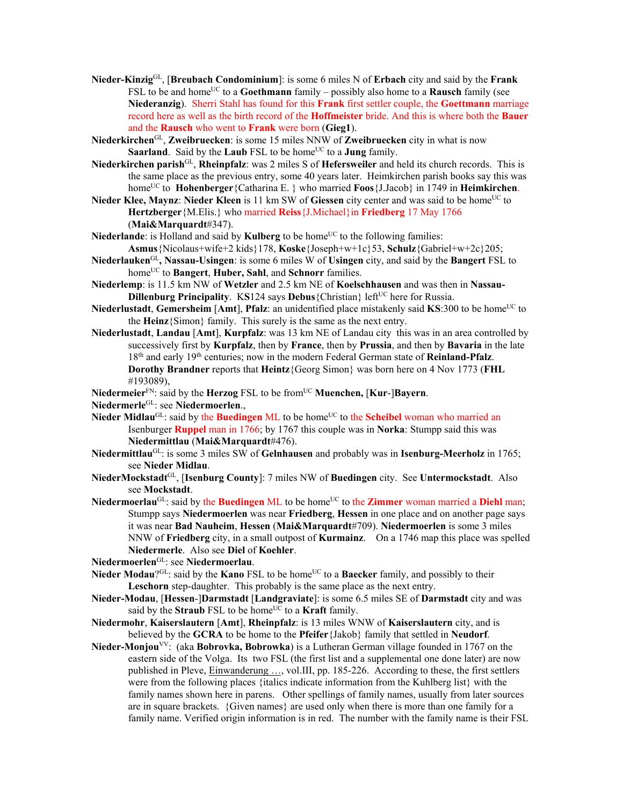- **Nieder-Kinzig**GL, [**Breubach Condominium**]: is some 6 miles N of **Erbach** city and said by the **Frank** FSL to be and home<sup>UC</sup> to a **Goethmann** family – possibly also home to a **Rausch** family (see **Niederanzig**). Sherri Stahl has found for this **Frank** first settler couple, the **Goettmann** marriage record here as well as the birth record of the **Hoffmeister** bride. And this is where both the **Bauer** and the **Rausch** who went to **Frank** were born (**Gieg1**).
- **Niederkirchen**GL, **Zweibruecken**: is some 15 miles NNW of **Zweibruecken** city in what is now **Saarland**. Said by the **Laub** FSL to be home<sup>UC</sup> to a **Jung** family.
- **Niederkirchen parish**GL, **Rheinpfalz**: was 2 miles S of **Hefersweiler** and held its church records. This is the same place as the previous entry, some 40 years later. Heimkirchen parish books say this was homeUC to **Hohenberger**{Catharina E. } who married **Foos**{J.Jacob} in 1749 in **Heimkirchen**.
- **Nieder Klee, Maynz: Nieder Kleen** is 11 km SW of Giessen city center and was said to be home<sup>UC</sup> to **Hertzberger**{M.Elis.} who married **Reiss**{J.Michael}in **Friedberg** 17 May 1766 (**Mai&Marquardt**#347).
- Niederlande: is Holland and said by **Kulberg** to be home<sup>UC</sup> to the following families: **Asmus**{Nicolaus+wife+2 kids}178, **Koske**{Joseph+w+1c}53, **Schulz**{Gabriel+w+2c}205;
- **Niederlauken**GL**, Nassau-Usingen**: is some 6 miles W of **Usingen** city, and said by the **Bangert** FSL to home<sup>UC</sup> to **Bangert**, **Huber**, Sahl, and Schnorr families.
- **Niederlemp**: is 11.5 km NW of **Wetzler** and 2.5 km NE of **Koelschhausen** and was then in **Nassau-Dillenburg Principality. KS124 says Debus** {Christian} left<sup>UC</sup> here for Russia.
- **Niederlustadt, Gemersheim** [**Amt**], **Pfalz**: an unidentified place mistakenly said **KS**:300 to be home<sup>UC</sup> to the **Heinz**{Simon} family. This surely is the same as the next entry.
- **Niederlustadt**, **Landau** [**Amt**], **Kurpfalz**: was 13 km NE of Landau city this was in an area controlled by successively first by **Kurpfalz**, then by **France**, then by **Prussia**, and then by **Bavaria** in the late 18th and early 19th centuries; now in the modern Federal German state of **Reinland-Pfalz**. **Dorothy Brandner** reports that **Heintz**{Georg Simon} was born here on 4 Nov 1773 (**FHL** #193089),
- **Niedermeier**<sup>FN</sup>: said by the **Herzog** FSL to be from<sup>UC</sup> **Muenchen, [Kur-]Bayern**.
- **Niedermerle**GL: see **Niedermoerlen**.,
- Nieder Midlau<sup>GL</sup>: said by the **Buedingen** ML to be home<sup>UC</sup> to the **Scheibel** woman who married an Isenburger **Ruppel** man in 1766; by 1767 this couple was in **Norka**: Stumpp said this was **Niedermittlau** (**Mai&Marquardt**#476).
- **Niedermittlau**GL: is some 3 miles SW of **Gelnhausen** and probably was in **Isenburg-Meerholz** in 1765; see **Nieder Midlau**.
- **NiederMockstadt**GL, [**Isenburg County**]: 7 miles NW of **Buedingen** city. See **Untermockstadt**. Also see **Mockstadt**.
- Niedermoerlau<sup>GL</sup>: said by the Buedingen ML to be home<sup>UC</sup> to the **Zimmer** woman married a Diehl man; Stumpp says **Niedermoerlen** was near **Friedberg**, **Hessen** in one place and on another page says it was near **Bad Nauheim**, **Hessen** (**Mai&Marquardt**#709). **Niedermoerlen** is some 3 miles NNW of **Friedberg** city, in a small outpost of **Kurmainz**. On a 1746 map this place was spelled **Niedermerle**. Also see **Diel** of **Koehler**.
- **Niedermoerlen**GL: see **Niedermoerlau**.
- **Nieder Modau**?<sup>GL</sup>: said by the **Kano** FSL to be home<sup>UC</sup> to a **Baecker** family, and possibly to their **Leschorn** step-daughter. This probably is the same place as the next entry.
- **Nieder-Modau**, [**Hessen**-]**Darmstadt** [**Landgraviate**]: is some 6.5 miles SE of **Darmstadt** city and was said by the **Straub** FSL to be home<sup>UC</sup> to a **Kraft** family.
- **Niedermohr**, **Kaiserslautern** [**Amt**], **Rheinpfalz**: is 13 miles WNW of **Kaiserslautern** city, and is believed by the **GCRA** to be home to the **Pfeifer**{Jakob} family that settled in **Neudorf**.
- **Nieder-Monjou**VV: (aka **Bobrovka, Bobrowka**) is a Lutheran German village founded in 1767 on the eastern side of the Volga. Its two FSL (the first list and a supplemental one done later) are now published in Pleve, Einwanderung …, vol.III, pp. 185-226. According to these, the first settlers were from the following places {italics indicate information from the Kuhlberg list} with the family names shown here in parens. Other spellings of family names, usually from later sources are in square brackets. {Given names} are used only when there is more than one family for a family name. Verified origin information is in red. The number with the family name is their FSL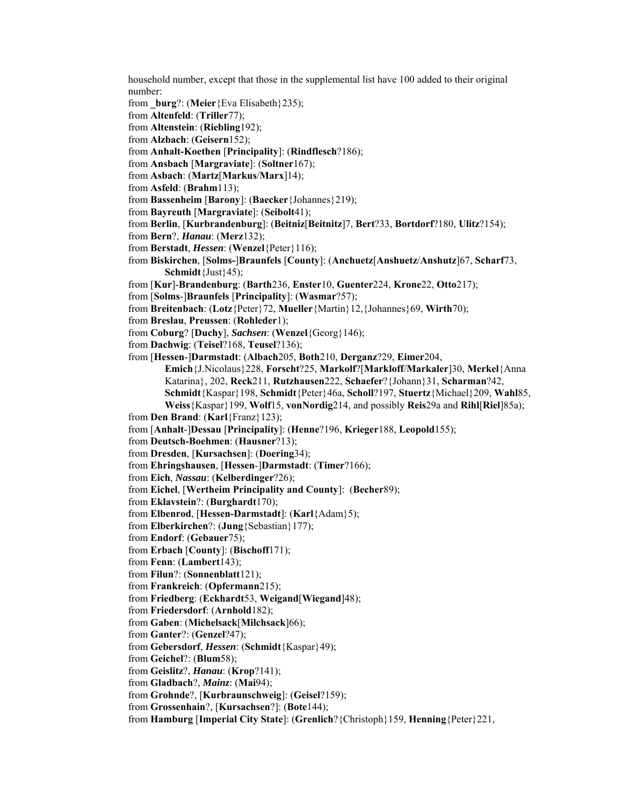household number, except that those in the supplemental list have 100 added to their original number: from **\_burg**?: (**Meier**{Eva Elisabeth}235); from **Altenfeld**: (**Triller**77); from **Altenstein**: (**Riebling**192); from **Alzbach**: (**Geisern**152); from **Anhalt-Koethen** [**Principality**]: (**Rindflesch**?186); from **Ansbach** [**Margraviate**]: (**Soltner**167); from **Asbach**: (**Martz**[**Markus**/**Marx**]14); from **Asfeld**: (**Brahm**113); from **Bassenheim** [**Barony**]: (**Baecker**{Johannes}219); from **Bayreuth** [**Margraviate**]: (**Seibolt**41); from **Berlin**, [**Kurbrandenburg**]: (**Beitniz**[**Beitnitz**]7, **Bert**?33, **Bortdorf**?180, **Ulitz**?154); from **Bern**?, *Hanau*: (**Merz**132); from **Berstadt**, *Hessen*: (**Wenzel**{Peter}116); from **Biskirchen**, [**Solms-**]**Braunfels** [**County**]: (**Anchuetz**[**Anshuetz**/**Anshutz**]67, **Scharf**73, **Schmidt**{Just}45); from [**Kur**]-**Brandenburg**: (**Barth**236, **Enster**10, **Guenter**224, **Krone**22, **Otto**217); from [**Solms**-]**Braunfels** [**Principality**]: (**Wasmar**?57); from **Breitenbach**: (**Lotz**{Peter}72, **Mueller**{Martin}12,{Johannes}69, **Wirth**70); from **Breslau**, **Preussen**: (**Rohleder**1); from **Coburg**? [**Duchy**], *Sachsen*: (**Wenzel**{Georg}146); from **Dachwig**: (**Teisel**?168, **Teusel**?136); from [**Hessen**-]**Darmstadt**: (**Albach**205, **Both**210, **Derganz**?29, **Eimer**204, **Emich**{J.Nicolaus}228, **Forscht**?25, **Markolf**?[**Markloff**/**Markaler**]30, **Merkel**{Anna Katarina}, 202, **Reck**211, **Rutzhausen**222, **Schaefer**?{Johann}31, **Scharman**?42, **Schmidt**{Kaspar}198, **Schmidt**{Peter}46a, **Scholl**?197, **Stuertz**{Michael}209, **Wahl**85, **Weiss**{Kaspar}199, **Wolf**15, **vonNordig**214, and possibly **Reis**29a and **Rihl**[**Riel**]85a); from **Den Brand**: (**Karl**{Franz}123); from [**Anhalt**-]**Dessau** [**Principality**]: (**Henne**?196, **Krieger**188, **Leopold**155); from **Deutsch-Boehmen**: (**Hausner**?13); from **Dresden**, [**Kursachsen**]: (**Doering**34); from **Ehringshausen**, [**Hessen**-]**Darmstadt**: (**Timer**?166); from **Eich**, *Nassau*: (**Kelberdinger**?26); from **Eichel**, [**Wertheim Principality and County**]: (**Becher**89); from **Eklavstein**?: (**Burghardt**170); from **Elbenrod**, [**Hessen-Darmstadt**]: (**Karl**{Adam}5); from **Elberkirchen**?: (**Jung**{Sebastian}177); from **Endorf**: (**Gebauer**75); from **Erbach** [**County**]: (**Bischoff**171); from **Fenn**: (**Lambert**143); from **Filun**?: (**Sonnenblatt**121); from **Frankreich**: (**Opfermann**215); from **Friedberg**: (**Eckhardt**53, **Weigand**[**Wiegand**]48); from **Friedersdorf**: (**Arnhold**182); from **Gaben**: (**Michelsack**[**Milchsack**]66); from **Ganter**?: (**Genzel**?47); from **Gebersdorf**, *Hessen*: (**Schmidt**{Kaspar}49); from **Geichel**?: (**Blum**58); from **Geislitz**?, *Hanau*: (**Krop**?141); from **Gladbach**?, *Mainz*: (**Mai**94); from **Grohnde**?, [**Kurbraunschweig**]: (**Geisel**?159); from **Grossenhain**?, [**Kursachsen**?]: (**Bote**144); from **Hamburg** [**Imperial City State**]: (**Grenlich**?{Christoph}159, **Henning**{Peter}221,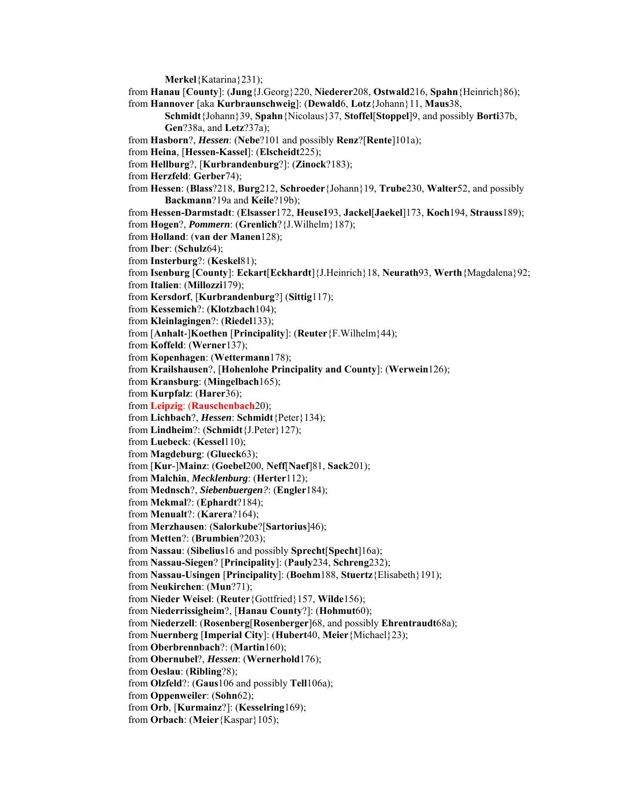**Merkel**{Katarina}231);

from **Hanau** [**County**]: (**Jung**{J.Georg}220, **Niederer**208, **Ostwald**216, **Spahn**{Heinrich}86); from **Hannover** [aka **Kurbraunschweig**]: (**Dewald**6, **Lotz**{Johann}11, **Maus**38,

**Schmidt**{Johann}39, **Spahn**{Nicolaus}37, **Stoffel**[**Stoppel**]9, and possibly **Borti**37b, **Gen**?38a, and **Letz**?37a);

from **Hasborn**?, *Hessen*: (**Nebe**?101 and possibly **Renz**?[**Rente**]101a);

from **Heina**, [**Hessen-Kassel**]: (**Elscheidt**225);

from **Hellburg**?, [**Kurbrandenburg**?]: (**Zinock**?183);

from **Herzfeld**: **Gerber**74);

from **Hessen**: (**Blass**?218, **Burg**212, **Schroeder**{Johann}19, **Trube**230, **Walter**52, and possibly **Backmann**?19a and **Keile**?19b);

from **Hessen-Darmstadt**: (**Elsasser**172, **Heuse1**93, **Jackel**[**Jaekel**]173, **Koch**194, **Strauss**189); from **Hogen**?, *Pommern*: (**Grenlich**?{J.Wilhelm}187);

from **Holland**: (**van der Manen**128);

from **Iber**: (**Schulz**64);

from **Insterburg**?: (**Keskel**81);

from **Isenburg** [**County**]: **Eckart**[**Eckhardt**]{J.Heinrich}18, **Neurath**93, **Werth**{Magdalena}92; from **Italien**: (**Millozzi**179);

from **Kersdorf**, [**Kurbrandenburg**?] (**Sittig**117);

from **Kessemich**?: (**Klotzbach**104);

from **Kleinlagingen**?: (**Riedel**133);

from [**Anhalt**-]**Koethen** [**Principality**]: (**Reuter**{F.Wilhelm}44);

from **Koffeld**: (**Werner**137);

from **Kopenhagen**: (**Wettermann**178);

from **Krailshausen**?, [**Hohenlohe Principality and County**]: (**Werwein**126);

from **Kransburg**: (**Mingelbach**165);

from **Kurpfalz**: (**Harer**36);

from **Leipzig**: (**Rauschenbach**20);

from **Lichbach**?, *Hessen*: **Schmidt**{Peter}134);

from **Lindheim**?: (**Schmidt**{J.Peter}127);

from **Luebeck**: (**Kessel**110);

from **Magdeburg**: (**Glueck**63);

from [**Kur**-]**Mainz**: (**Goebel**200, **Neff**[**Naef**]81, **Sack**201);

from **Malchin**, *Mecklenburg*: (**Herter**112);

from **Mednsch**?, *Siebenbuergen?*: (**Engler**184);

from **Mekmal**?: (**Ephardt**?184);

from **Menualt**?: (**Karera**?164);

from **Merzhausen**: (**Salorkube**?[**Sartorius**]46);

from **Metten**?: (**Brumbien**?203);

from **Nassau**: (**Sibelius**16 and possibly **Sprecht**[**Specht**]16a);

from **Nassau-Siegen**? [**Principality**]: (**Pauly**234, **Schreng**232);

from **Nassau-Usingen** [**Principality**]: (**Boehm**188, **Stuertz**{Elisabeth}191);

from **Neukirchen**: (**Mun**?71);

from **Nieder Weisel**: (**Reuter**{Gottfried}157, **Wilde**156);

from **Niederrissigheim**?, [**Hanau County**?]: (**Hohmut**60);

from **Niederzell**: (**Rosenberg**[**Rosenberger**]68, and possibly **Ehrentraudt**68a);

from **Nuernberg** [**Imperial City**]: (**Hubert**40, **Meier**{Michael}23);

from **Oberbrennbach**?: (**Martin**160);

from **Obernubel**?, *Hessen*: (**Wernerhold**176);

from **Oeslau**: (**Ribling**?8);

from **Olzfeld**?: (**Gaus**106 and possibly **Tell**106a);

from **Oppenweiler**: (**Sohn**62);

from **Orb**, [**Kurmainz**?]: (**Kesselring**169);

from **Orbach**: (**Meier**{Kaspar}105);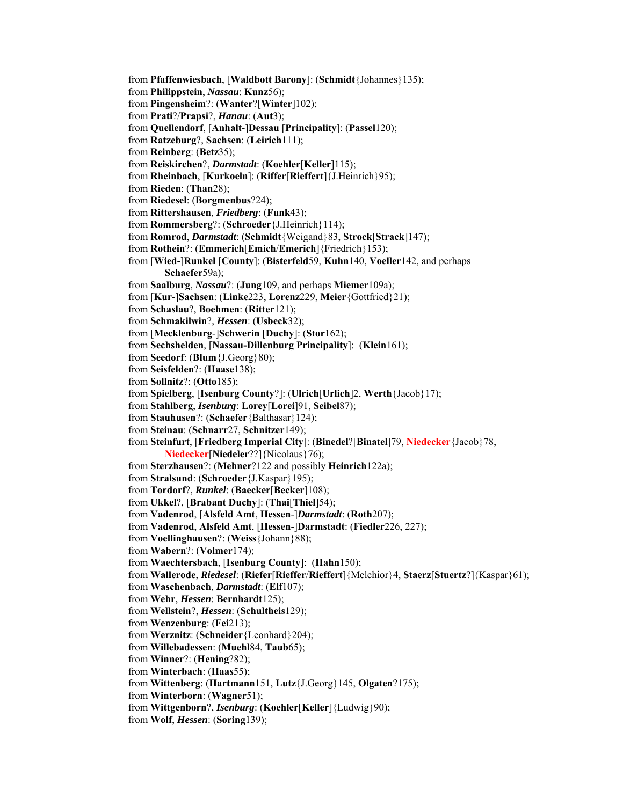from **Pfaffenwiesbach**, [**Waldbott Barony**]: (**Schmidt**{Johannes}135); from **Philippstein**, *Nassau*: **Kunz**56); from **Pingensheim**?: (**Wanter**?[**Winter**]102); from **Prati**?/**Prapsi**?, *Hanau*: (**Aut**3); from **Quellendorf**, [**Anhalt**-]**Dessau** [**Principality**]: (**Passel**120); from **Ratzeburg**?, **Sachsen**: (**Leirich**111); from **Reinberg**: (**Betz**35); from **Reiskirchen**?, *Darmstadt*: (**Koehler**[**Keller**]115); from **Rheinbach**, [**Kurkoeln**]: (**Riffer**[**Rieffert**]{J.Heinrich}95); from **Rieden**: (**Than**28); from **Riedesel**: (**Borgmenbus**?24); from **Rittershausen**, *Friedberg*: (**Funk**43); from **Rommersberg**?: (**Schroeder**{J.Heinrich}114); from **Romrod**, *Darmstadt*: (**Schmidt**{Weigand}83, **Strock**[**Strack**]147); from **Rothein**?: (**Emmerich**[**Emich**/**Emerich**]{Friedrich}153); from [**Wied-**]**Runkel** [**County**]: (**Bisterfeld**59, **Kuhn**140, **Voeller**142, and perhaps **Schaefer**59a); from **Saalburg**, *Nassau*?: (**Jung**109, and perhaps **Miemer**109a); from [**Kur**-]**Sachsen**: (**Linke**223, **Lorenz**229, **Meier**{Gottfried}21); from **Schaslau**?, **Boehmen**: (**Ritter**121); from **Schmakilwin**?, *Hessen*: (**Usbeck**32); from [**Mecklenburg**-]**Schwerin** [**Duchy**]: (**Stor**162); from **Sechshelden**, [**Nassau-Dillenburg Principality**]: (**Klein**161); from **Seedorf**: (**Blum**{J.Georg}80); from **Seisfelden**?: (**Haase**138); from **Sollnitz**?: (**Otto**185); from **Spielberg**, [**Isenburg County**?]: (**Ulrich**[**Urlich**]2, **Werth**{Jacob}17); from **Stahlberg**, *Isenburg*: **Lorey**[**Lorei**]91, **Seibel**87); from **Stauhusen**?: (**Schaefer**{Balthasar}124); from **Steinau**: (**Schnarr**27, **Schnitzer**149); from **Steinfurt**, [**Friedberg Imperial City**]: (**Binedel**?[**Binatel**]79, **Niedecker**{Jacob}78, **Niedecker**[**Niedeler**??]{Nicolaus}76); from **Sterzhausen**?: (**Mehner**?122 and possibly **Heinrich**122a); from **Stralsund**: (**Schroeder**{J.Kaspar}195); from **Tordorf**?, *Runkel*: (**Baecker**[**Becker**]108); from **Ukkel**?, [**Brabant Duchy**]: (**Thai**[**Thiel**]54); from **Vadenrod**, [**Alsfeld Amt**, **Hessen**-]*Darmstadt*: (**Roth**207); from **Vadenrod**, **Alsfeld Amt**, [**Hessen**-]**Darmstadt**: (**Fiedler**226, 227); from **Voellinghausen**?: (**Weiss**{Johann}88); from **Wabern**?: (**Volmer**174); from **Waechtersbach**, [**Isenburg County**]: (**Hahn**150); from **Wallerode**, *Riedesel*: (**Riefer**[**Rieffer**/**Rieffert**]{Melchior}4, **Staerz**[**Stuertz**?]{Kaspar}61); from **Waschenbach**, *Darmstadt*: (**Elf**107); from **Wehr**, *Hessen*: **Bernhardt**125); from **Wellstein**?, *Hessen*: (**Schultheis**129); from **Wenzenburg**: (**Fei**213); from **Werznitz**: (**Schneider**{Leonhard}204); from **Willebadessen**: (**Muehl**84, **Taub**65); from **Winner**?: (**Hening**?82); from **Winterbach**: (**Haas**55); from **Wittenberg**: (**Hartmann**151, **Lutz**{J.Georg}145, **Olgaten**?175); from **Winterborn**: (**Wagner**51); from **Wittgenborn**?, *Isenburg*: (**Koehler**[**Keller**]{Ludwig}90); from **Wolf**, *Hessen*: (**Soring**139);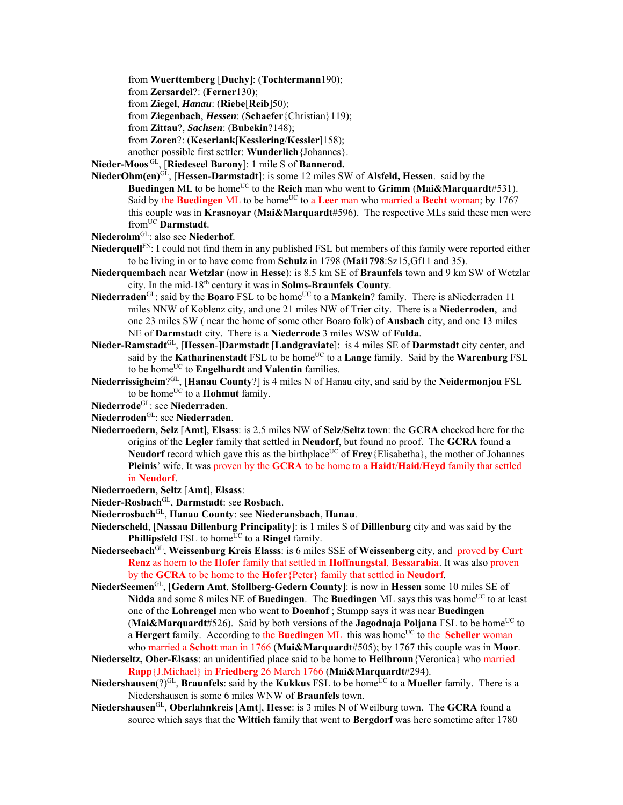from **Wuerttemberg** [**Duchy**]: (**Tochtermann**190);

from **Zersardel**?: (**Ferner**130);

from **Ziegel**, *Hanau*: (**Riebe**[**Reib**]50);

from **Ziegenbach**, *Hessen*: (**Schaefer**{Christian}119);

from **Zittau**?, *Sachsen*: (**Bubekin**?148);

from **Zoren**?: (**Keserlank**[**Kesslering**/**Kessler**]158);

another possible first settler: **Wunderlich**{Johannes}.

**Nieder-Moos** GL, [**Riedeseel Barony**]: 1 mile S of **Bannerod.** 

- **NiederOhm(en)**GL, [**Hessen-Darmstadt**]: is some 12 miles SW of **Alsfeld, Hessen**. said by the **Buedingen** ML to be home<sup>UC</sup> to the **Reich** man who went to **Grimm** (Mai&Marquardt#531). Said by the Buedingen ML to be home<sup>UC</sup> to a Leer man who married a Becht woman; by 1767 this couple was in **Krasnoyar** (**Mai&Marquardt**#596). The respective MLs said these men were fromUC **Darmstadt**.
- **Niederohm**GL: also see **Niederhof**.
- **Niederquell**FN: I could not find them in any published FSL but members of this family were reported either to be living in or to have come from **Schulz** in 1798 (**Mai1798**:Sz15,Gf11 and 35).
- **Niederquembach** near **Wetzlar** (now in **Hesse**): is 8.5 km SE of **Braunfels** town and 9 km SW of Wetzlar city. In the mid-18th century it was in **Solms-Braunfels County**.
- Niederraden<sup>GL</sup>: said by the Boaro FSL to be home<sup>UC</sup> to a Mankein? family. There is aNiederraden 11 miles NNW of Koblenz city, and one 21 miles NW of Trier city. There is a **Niederroden**, and one 23 miles SW ( near the home of some other Boaro folk) of **Ansbach** city, and one 13 miles NE of **Darmstadt** city. There is a **Niederrode** 3 miles WSW of **Fulda**.
- **Nieder-Ramstadt**GL, [**Hessen**-]**Darmstadt** [**Landgraviate**]: is 4 miles SE of **Darmstadt** city center, and said by the **Katharinenstadt** FSL to be home<sup>UC</sup> to a **Lange** family. Said by the **Warenburg** FSL to be home<sup>UC</sup> to **Engelhardt** and **Valentin** families.
- **Niederrissigheim**?GL, [**Hanau County**?] is 4 miles N of Hanau city, and said by the **Neidermonjou** FSL to be home<sup>UC</sup> to a **Hohmut** family.
- **Niederrode**GL: see **Niederraden**.
- **Niederroden**GL: see **Niederraden**.
- **Niederroedern**, **Selz** [**Amt**], **Elsass**: is 2.5 miles NW of **Selz/Seltz** town: the **GCRA** checked here for the origins of the **Legler** family that settled in **Neudorf**, but found no proof. The **GCRA** found a **Neudorf** record which gave this as the birthplace<sup>UC</sup> of **Frey**{Elisabetha}, the mother of Johannes **Pleinis**' wife. It was proven by the **GCRA** to be home to a **Haidt**/**Haid**/**Heyd** family that settled in **Neudorf**.
- **Niederroedern**, **Seltz** [**Amt**], **Elsass**:
- **Nieder-Rosbach**GL, **Darmstadt**: see **Rosbach**.
- **Niederrosbach**GL, **Hanau County**: see **Niederansbach**, **Hanau**.
- **Niederscheld**, [**Nassau Dillenburg Principality**]: is 1 miles S of **Dilllenburg** city and was said by the **Phillipsfeld** FSL to home<sup>UC</sup> to a **Ringel** family.
- **Niederseebach**GL, **Weissenburg Kreis Elasss**: is 6 miles SSE of **Weissenberg** city, and proved **by Curt Renz** as hoem to the **Hofer** family that settled in **Hoffnungstal**, **Bessarabia**. It was also proven by the **GCRA** to be home to the **Hofer**{Peter} family that settled in **Neudorf**.
- **NiederSeemen**GL, [**Gedern Amt**, **Stollberg-Gedern County**]: is now in **Hessen** some 10 miles SE of **Nidda** and some 8 miles NE of **Buedingen**. The **Buedingen** ML says this was home<sup>UC</sup> to at least one of the **Lohrengel** men who went to **Doenhof** ; Stumpp says it was near **Buedingen (Mai&Marquardt**#526). Said by both versions of the **Jagodnaja Poljana** FSL to be home<sup>UC</sup> to a **Hergert** family. According to the **Buedingen** ML this was home<sup>UC</sup> to the **Scheller** woman who married a **Schott** man in 1766 (**Mai&Marquardt**#505); by 1767 this couple was in **Moor**.
- **Niederseltz, Ober-Elsass**: an unidentified place said to be home to **Heilbronn**{Veronica} who married **Rapp**{J.Michael} in **Friedberg** 26 March 1766 (**Mai&Marquardt**#294).
- **Niedershausen**(?)<sup>GL</sup>, **Braunfels**: said by the **Kukkus** FSL to be home<sup>UC</sup> to a **Mueller** family. There is a Niedershausen is some 6 miles WNW of **Braunfels** town.
- **Niedershausen**GL, **Oberlahnkreis** [**Amt**], **Hesse**: is 3 miles N of Weilburg town. The **GCRA** found a source which says that the **Wittich** family that went to **Bergdorf** was here sometime after 1780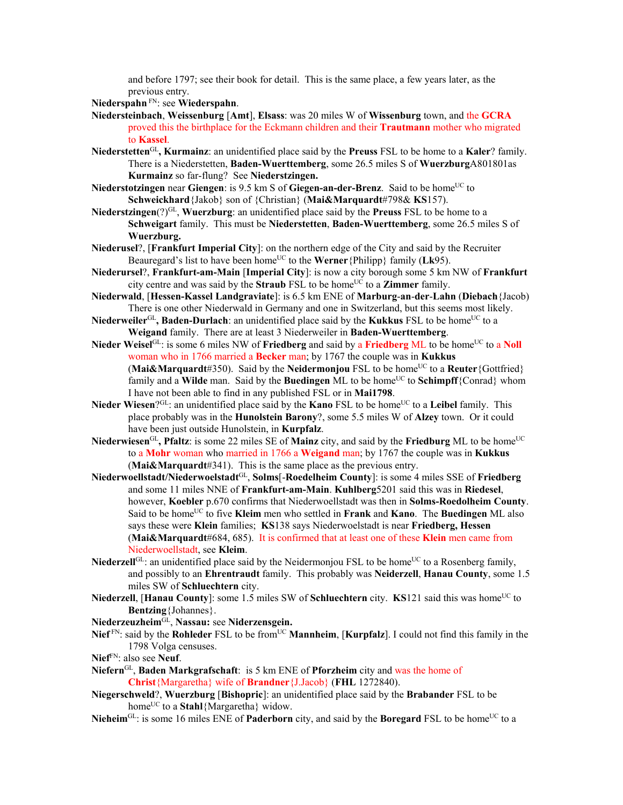and before 1797; see their book for detail. This is the same place, a few years later, as the previous entry.

**Niederspahn** FN: see **Wiederspahn**.

- **Niedersteinbach**, **Weissenburg** [**Amt**], **Elsass**: was 20 miles W of **Wissenburg** town, and the **GCRA** proved this the birthplace for the Eckmann children and their **Trautmann** mother who migrated to **Kassel**.
- **Niederstetten**GL**, Kurmainz**: an unidentified place said by the **Preuss** FSL to be home to a **Kaler**? family. There is a Niederstetten, **Baden-Wuerttemberg**, some 26.5 miles S of **Wuerzburg**A801801as **Kurmainz** so far-flung? See **Niederstzingen.**
- **Niederstotzingen** near **Giengen**: is 9.5 km S of **Giegen-an-der-Brenz**. Said to be home<sup>UC</sup> to **Schweickhard**{Jakob} son of {Christian} (**Mai&Marquardt**#798& **KS**157).
- **Niederstzingen**(?)GL, **Wuerzburg**: an unidentified place said by the **Preuss** FSL to be home to a **Schweigart** family. This must be **Niederstetten**, **Baden-Wuerttemberg**, some 26.5 miles S of **Wuerzburg.**
- **Niederusel**?, [**Frankfurt Imperial City**]: on the northern edge of the City and said by the Recruiter Beauregard's list to have been home<sup>UC</sup> to the **Werner** {Philipp} family (**Lk**95).
- **Niederursel**?, **Frankfurt-am-Main** [**Imperial City**]: is now a city borough some 5 km NW of **Frankfurt** city centre and was said by the **Straub** FSL to be homeUC to a **Zimmer** family.
- **Niederwald**, [**Hessen-Kassel Landgraviate**]: is 6.5 km ENE of **Marburg**-**an**-**der**-**Lahn** (**Diebach**{Jacob) There is one other Niederwald in Germany and one in Switzerland, but this seems most likely.
- Niederweiler<sup>GL</sup>, Baden-Durlach: an unidentified place said by the Kukkus FSL to be home<sup>UC</sup> to a **Weigand** family. There are at least 3 Niederweiler in **Baden-Wuerttemberg**.
- **Nieder Weisel**<sup>GL</sup>: is some 6 miles NW of **Friedberg** and said by a **Friedberg** ML to be home<sup>UC</sup> to a **Noll** woman who in 1766 married a **Becker** man; by 1767 the couple was in **Kukkus** (Mai&Marquardt#350). Said by the Neidermonjou FSL to be home<sup>UC</sup> to a Reuter {Gottfried} family and a **Wilde** man. Said by the **Buedingen** ML to be home<sup>UC</sup> to **Schimpff**{Conrad} whom I have not been able to find in any published FSL or in **Mai1798**.
- **Nieder Wiesen**?GL: an unidentified place said by the **Kano** FSL to be home<sup>UC</sup> to a **Leibel** family. This place probably was in the **Hunolstein Barony**?, some 5.5 miles W of **Alzey** town. Or it could have been just outside Hunolstein, in **Kurpfalz**.
- Niederwiesen<sup>GL</sup>, Pfaltz: is some 22 miles SE of Mainz city, and said by the Friedburg ML to be home<sup>UC</sup> to a **Mohr** woman who married in 1766 a **Weigand** man; by 1767 the couple was in **Kukkus** (**Mai&Marquardt**#341). This is the same place as the previous entry.
- **Niederwoellstadt/Niederwoelstadt**GL, **Solms**[-**Roedelheim County**]: is some 4 miles SSE of **Friedberg** and some 11 miles NNE of **Frankfurt-am-Main**. **Kuhlberg**5201 said this was in **Riedesel**, however, **Koebler** p.670 confirms that Niederwoellstadt was then in **Solms-Roedolheim County**. Said to be homeUC to five **Kleim** men who settled in **Frank** and **Kano**. The **Buedingen** ML also says these were **Klein** families; **KS**138 says Niederwoelstadt is near **Friedberg, Hessen**  (**Mai&Marquardt**#684, 685). It is confirmed that at least one of these **Klein** men came from Niederwoellstadt, see **Kleim**.
- Niederzell<sup>GL</sup>: an unidentified place said by the Neidermonjou FSL to be home<sup>UC</sup> to a Rosenberg family, and possibly to an **Ehrentraudt** family. This probably was **Neiderzell**, **Hanau County**, some 1.5 miles SW of **Schluechtern** city.
- **Niederzell**, [Hanau County]: some 1.5 miles SW of **Schluechtern** city. **KS**121 said this was home<sup>UC</sup> to **Bentzing**{Johannes}.

**Niederzeuzheim**GL, **Nassau:** see **Niderzensgein.** 

**Nief** FN: said by the **Rohleder** FSL to be from<sup>UC</sup> **Mannheim**, [**Kurpfalz**]. I could not find this family in the 1798 Volga censuses.

**Nief**FN: also see **Neuf**.

- **Niefern**GL, **Baden Markgrafschaft**: is 5 km ENE of **Pforzheim** city and was the home of **Christ**{Margaretha} wife of **Brandner**{J.Jacob} (**FHL** 1272840).
- **Niegerschweld**?, **Wuerzburg** [**Bishopric**]: an unidentified place said by the **Brabander** FSL to be home<sup>UC</sup> to a **Stahl**{Margaretha} widow.
- **Nieheim**<sup>GL</sup>: is some 16 miles ENE of **Paderborn** city, and said by the **Boregard** FSL to be home<sup>UC</sup> to a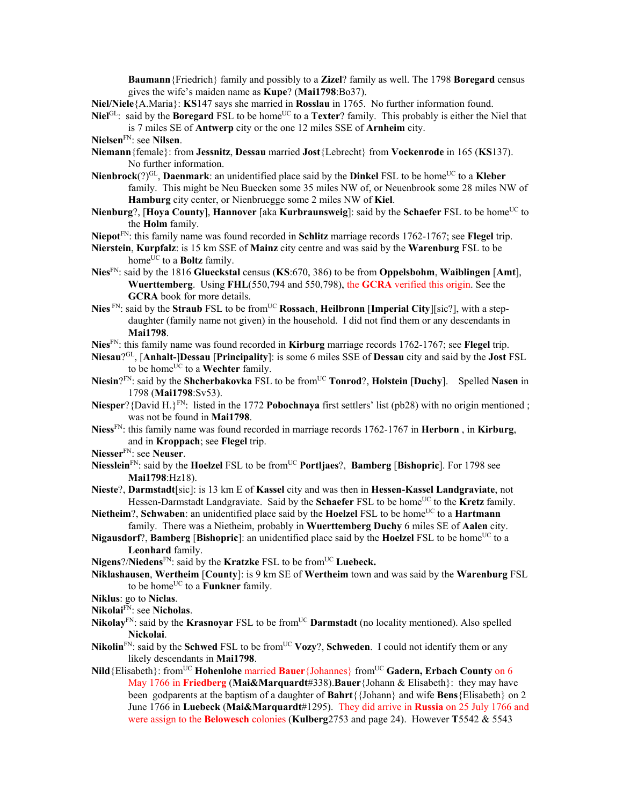**Baumann**{Friedrich} family and possibly to a **Zizel**? family as well. The 1798 **Boregard** census gives the wife's maiden name as **Kupe**? (**Mai1798**:Bo37).

**Niel/Niele**{A.Maria}: **KS**147 says she married in **Rosslau** in 1765. No further information found.

- **Niel**<sup>GL</sup>: said by the **Boregard** FSL to be home<sup>UC</sup> to a **Texter**? family. This probably is either the Niel that is 7 miles SE of **Antwerp** city or the one 12 miles SSE of **Arnheim** city.
- **Nielsen**FN: see **Nilsen**.
- **Niemann**{female}: from **Jessnitz**, **Dessau** married **Jost**{Lebrecht} from **Vockenrode** in 165 (**KS**137). No further information.
- **Nienbrock**(?)<sup>GL</sup>, **Daenmark**: an unidentified place said by the **Dinkel** FSL to be home<sup>UC</sup> to a **Kleber** family. This might be Neu Buecken some 35 miles NW of, or Neuenbrook some 28 miles NW of **Hamburg** city center, or Nienbruegge some 2 miles NW of **Kiel**.
- **Nienburg**?, [Hoya County], Hannover [aka **Kurbraunsweig**]: said by the **Schaefer** FSL to be home<sup>UC</sup> to the **Holm** family.

**Niepot**FN: this family name was found recorded in **Schlitz** marriage records 1762-1767; see **Flegel** trip.

- **Nierstein**, **Kurpfalz**: is 15 km SSE of **Mainz** city centre and was said by the **Warenburg** FSL to be home<sup>UC</sup> to a **Boltz** family.
- **Nies**FN: said by the 1816 **Glueckstal** census (**KS**:670, 386) to be from **Oppelsbohm**, **Waiblingen** [**Amt**], **Wuerttemberg**. Using **FHL**(550,794 and 550,798), the **GCRA** verified this origin. See the **GCRA** book for more details.
- **Nies** FN: said by the **Straub** FSL to be from<sup>UC</sup> **Rossach**, **Heilbronn** [Imperial City][sic?], with a stepdaughter (family name not given) in the household. I did not find them or any descendants in **Mai1798**.
- **Nies**FN: this family name was found recorded in **Kirburg** marriage records 1762-1767; see **Flegel** trip.
- **Niesau**?GL, [**Anhalt-**]**Dessau** [**Principality**]: is some 6 miles SSE of **Dessau** city and said by the **Jost** FSL to be home<sup>UC</sup> to a **Wechter** family.
- **Niesin**?FN: said by the **Shcherbakovka** FSL to be from<sup>UC</sup> **Tonrod**?, **Holstein** [Duchy]. Spelled Nasen in 1798 (**Mai1798**:Sv53).
- **Niesper**?{David H.}<sup>FN</sup>: listed in the 1772 **Pobochnaya** first settlers' list (pb28) with no origin mentioned ; was not be found in **Mai1798**.
- **Niess**FN: this family name was found recorded in marriage records 1762-1767 in **Herborn** , in **Kirburg**, and in **Kroppach**; see **Flegel** trip.
- **Niesser**FN: see **Neuser**.
- **Niesslein**<sup>FN</sup>: said by the **Hoelzel** FSL to be from<sup>UC</sup> **Portliaes**?, **Bamberg** [Bishopric]. For 1798 see **Mai1798**:Hz18).
- **Nieste**?, **Darmstadt**[sic]: is 13 km E of **Kassel** city and was then in **Hessen-Kassel Landgraviate**, not Hessen-Darmstadt Landgraviate. Said by the **Schaefer** FSL to be home<sup>UC</sup> to the **Kretz** family.
- **Nietheim**?, **Schwaben**: an unidentified place said by the **Hoelzel** FSL to be home<sup>UC</sup> to a **Hartmann** family. There was a Nietheim, probably in **Wuerttemberg Duchy** 6 miles SE of **Aalen** city.
- **Nigausdorf**?, **Bamberg** [Bishopric]: an unidentified place said by the **Hoelzel** FSL to be home<sup>UC</sup> to a **Leonhard** family.
- **Nigens**?/**Niedens**<sup>FN</sup>: said by the **Kratzke** FSL to be from<sup>UC</sup> Luebeck.
- **Niklashausen**, **Wertheim** [**County**]: is 9 km SE of **Wertheim** town and was said by the **Warenburg** FSL to be home<sup>UC</sup> to a **Funkner** family.
- **Niklus**: go to **Niclas**.
- **Nikolai**FN: see **Nicholas**.
- **Nikolay**<sup>FN</sup>: said by the **Krasnoyar** FSL to be from<sup>UC</sup> **Darmstadt** (no locality mentioned). Also spelled **Nickolai**.
- **Nikolin**<sup>FN</sup>: said by the **Schwed** FSL to be from<sup>UC</sup> **Vozy**?, **Schweden**. I could not identify them or any likely descendants in **Mai1798**.
- **Nild**{Elisabeth}: fromUC **Hohenlohe** married **Bauer**{Johannes} fromUC **Gadern, Erbach County** on 6 May 1766 in **Friedberg** (**Mai&Marquardt**#338).**Bauer**{Johann & Elisabeth}: they may have been godparents at the baptism of a daughter of **Bahrt**{{Johann} and wife **Bens**{Elisabeth} on 2 June 1766 in **Luebeck** (**Mai&Marquardt**#1295). They did arrive in **Russia** on 25 July 1766 and were assign to the **Belowesch** colonies (**Kulberg**2753 and page 24). However **T**5542 & 5543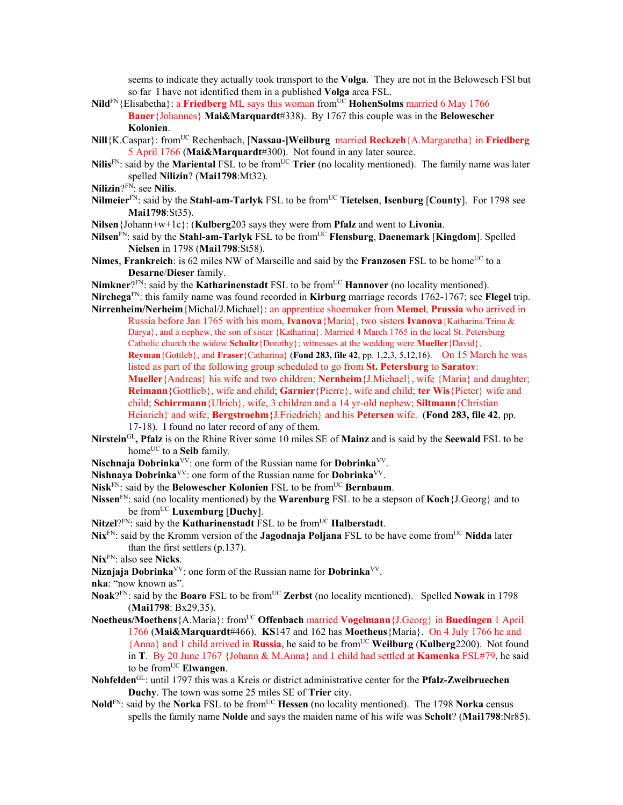seems to indicate they actually took transport to the **Volga**. They are not in the Belowesch FSl but so far I have not identified them in a published **Volga** area FSL.

- Nild<sup>FN</sup>{Elisabetha}: a Friedberg ML says this woman from<sup>UC</sup> HohenSolms married 6 May 1766 **Bauer**{Johannes} **Mai&Marquardt**#338). By 1767 this couple was in the **Belowescher Kolonien**.
- **Nill**{K.Caspar}: fromUC Rechenbach, [**Nassau-]Weilburg** married **Reckzeh**{A.Margaretha} in **Friedberg**  5 April 1766 (**Mai&Marquardt**#300). Not found in any later source.
- **Nilis**<sup>FN</sup>: said by the **Mariental** FSL to be from<sup>UC</sup> **Trier** (no locality mentioned). The family name was later spelled **Nilizin**? (**Mai1798**:Mt32).
- **Nilizin**?FN: see **Nilis**.
- **Nilmeier**<sup>FN</sup>: said by the **Stahl-am-Tarlyk** FSL to be from<sup>UC</sup> **Tietelsen**, **Isenburg** [County]. For 1798 see **Mai1798**:St35).
- **Nilsen**{Johann+w+1c}: (**Kulberg**203 says they were from **Pfalz** and went to **Livonia**.
- **Nilsen**<sup>FN</sup>: said by the **Stahl-am-Tarlyk** FSL to be from<sup>UC</sup> **Flensburg**, **Daenemark** [**Kingdom**]. Spelled **Nielsen** in 1798 (**Mai1798**:St58).
- Nimes, Frankreich: is 62 miles NW of Marseille and said by the Franzosen FSL to be home<sup>UC</sup> to a **Desarne**/**Dieser** family.

Nimkner?FN: said by the **Katharinenstadt** FSL to be from<sup>UC</sup> **Hannover** (no locality mentioned). **Nirchega**FN: this family name was found recorded in **Kirburg** marriage records 1762-1767; see **Flegel** trip. **Nirrenheim/Nerheim**{Michal/J.Michael}: an apprentice shoemaker from **Memel**, **Prussia** who arrived in

Russia before Jan 1765 with his mom, **Ivanova**{Maria}, two sisters **Ivanova**{Katharina/Trina & Darya}, and a nephew, the son of sister {Katharina}. Married 4 March 1765 in the local St. Petersburg Catholic church the widow **Schultz**{Dorothy}; witnesses at the wedding were **Mueller**{David}, **Reyman**{Gottleb}, and **Fraser**{Catharina} (**Fond 283, file 42**, pp. 1,2,3, 5,12,16). On 15 March he was listed as part of the following group scheduled to go from **St. Petersburg** to **Saratov**: **Mueller**{Andreas} his wife and two children; **Nernheim**{J.Michael}, wife {Maria} and daughter; **Reimann**{Gottlieb}, wife and child; **Garnier**{Pierre}, wife and child; **ter Wis**{Pieter} wife and child; **Schirrmann**{Ulrich}, wife, 3 children and a 14 yr-old nephew; **Siltmann**{Christian Heinrich} and wife; **Bergstroehm**{J.Friedrich} and his **Petersen** wife. (**Fond 283, file 42**, pp. 17-18). I found no later record of any of them.

- **Nirstein**GL**, Pfalz** is on the Rhine River some 10 miles SE of **Mainz** and is said by the **Seewald** FSL to be home<sup>UC</sup> to a **Seib** family.
- **Nischnaja Dobrinka**VV: one form of the Russian name for **Dobrinka**VV.
- **Nishnaya Dobrinka**VV: one form of the Russian name for **Dobrinka**VV.

Nisk<sup>FN</sup>: said by the **Belowescher Kolonien** FSL to be from<sup>UC</sup> **Bernbaum**.

- **Nissen**FN: said (no locality mentioned) by the **Warenburg** FSL to be a stepson of **Koch**{J.Georg} and to be fromUC **Luxemburg** [**Duchy**].
- Nitzel?<sup>FN</sup>: said by the **Katharinenstadt** FSL to be from<sup>UC</sup> **Halberstadt**.
- **Nix**<sup>FN</sup>: said by the Kromm version of the **Jagodnaja Poljana** FSL to be have come from<sup>UC</sup> Nidda later than the first settlers (p.137).
- **Nix**FN: also see **Nicks**.
- **Niznjaja Dobrinka**VV: one form of the Russian name for **Dobrinka**VV.

**nka**: "now known as".

- **Noak**?FN: said by the **Boaro** FSL to be fromUC **Zerbst** (no locality mentioned). Spelled **Nowak** in 1798 (**Mai1798**: Bx29,35).
- **Noetheus/Moethens**{A.Maria}: fromUC **Offenbach** married **Vogelmann**{J.Georg} in **Buedingen** 1 April 1766 (**Mai&Marquardt**#466). **KS**147 and 162 has **Moetheus**{Maria}. On 4 July 1766 he and {Anna} and 1 child arrived in **Russia**, he said to be fromUC **Weilburg** (**Kulberg**2200). Not found in **T**. By 20 June 1767 {Johann & M.Anna} and 1 child had settled at **Kamenka** FSL#79, he said to be from<sup>UC</sup> Elwangen.
- **Nohfelden**GL: until 1797 this was a Kreis or district administrative center for the **Pfalz-Zweibruechen Duchy**. The town was some 25 miles SE of **Trier** city.
- **Nold**<sup>FN</sup>: said by the **Norka** FSL to be from<sup>UC</sup> **Hessen** (no locality mentioned). The 1798 **Norka** census spells the family name **Nolde** and says the maiden name of his wife was **Scholt**? (**Mai1798**:Nr85).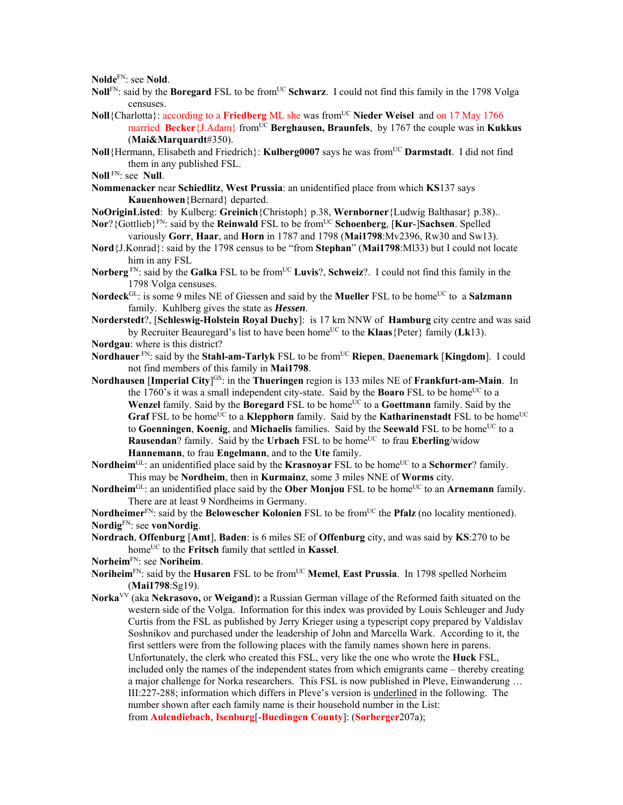**Nolde**FN: see **Nold**.

- **Noll**FN: said by the **Boregard** FSL to be from<sup>UC</sup> Schwarz. I could not find this family in the 1798 Volga censuses.
- **Noll**{Charlotta}: according to a **Friedberg** ML she was from<sup>UC</sup> Nieder Weisel and on 17 May 1766 married **Becker**{J.Adam} from<sup>UC</sup> **Berghausen, Braunfels**, by 1767 the couple was in **Kukkus**

(**Mai&Marquardt**#350).

- **Noll**{Hermann, Elisabeth and Friedrich}: **Kulberg0007** says he was fromUC **Darmstadt**. I did not find them in any published FSL.
- **Noll** FN: see **Null**.
- **Nommenacker** near **Schiedlitz**, **West Prussia**: an unidentified place from which **KS**137 says **Kauenhowen**{Bernard} departed.
- **NoOriginListed**: by Kulberg: **Greinich**{Christoph} p.38, **Wernborner**{Ludwig Balthasar} p.38)..
- **Nor**?{Gottlieb}FN: said by the **Reinwald** FSL to be fromUC **Schoenberg**, [**Kur**-]**Sachsen**. Spelled variously **Gorr**, **Haar**, and **Horn** in 1787 and 1798 (**Mai1798**:Mv2396, Rw30 and Sw13).
- **Nord**{J.Konrad}: said by the 1798 census to be "from **Stephan**" (**Mai1798**:Ml33) but I could not locate him in any FSL
- Norberg<sup>FN</sup>: said by the Galka FSL to be from<sup>UC</sup> Luvis?, Schweiz?. I could not find this family in the 1798 Volga censuses.

**Nordeck**<sup>GL</sup>: is some 9 miles NE of Giessen and said by the **Mueller** FSL to be home<sup>UC</sup> to a **Salzmann** family. Kuhlberg gives the state as *Hessen*.

- **Norderstedt**?, [**Schleswig-Holstein Royal Duchy**]: is 17 km NNW of **Hamburg** city centre and was said by Recruiter Beauregard's list to have been home<sup>UC</sup> to the **Klaas**{Peter} family (**Lk**13).
- **Nordgau**: where is this district?
- **Nordhauer** FN: said by the **Stahl-am-Tarlyk** FSL to be fromUC **Riepen**, **Daenemark** [**Kingdom**]. I could not find members of this family in **Mai1798**.
- **Nordhausen [Imperial City**]<sup>GS</sup>: in the **Thueringen** region is 133 miles NE of **Frankfurt-am-Main**. In the 1760's it was a small independent city-state. Said by the **Boaro** FSL to be home<sup>UC</sup> to a **Wenzel** family. Said by the **Boregard** FSL to be home<sup>UC</sup> to a **Goettmann** family. Said by the **Graf** FSL to be home<sup>UC</sup> to a **Klepphorn** family. Said by the **Katharinenstadt** FSL to be home<sup>UC</sup> to Goenningen, Koenig, and Michaelis families. Said by the Seewald FSL to be home<sup>UC</sup> to a **Rausendan**? family. Said by the **Urbach** FSL to be home<sup>UC</sup> to frau **Eberling**/widow **Hannemann**, to frau **Engelmann**, and to the **Ute** family.
- **Nordheim**<sup>GL</sup>: an unidentified place said by the **Krasnoyar** FSL to be home<sup>UC</sup> to a **Schormer**? family. This may be **Nordheim**, then in **Kurmainz**, some 3 miles NNE of **Worms** city.
- **Nordheim**<sup>GL</sup>: an unidentified place said by the **Ober Monjou** FSL to be home<sup>UC</sup> to an **Arnemann** family. There are at least 9 Nordheims in Germany.

**Nordheimer**<sup>FN</sup>: said by the **Belowescher Kolonien** FSL to be from<sup>UC</sup> the **Pfalz** (no locality mentioned). **Nordig**FN: see **vonNordig**.

- **Nordrach**, **Offenburg** [**Amt**], **Baden**: is 6 miles SE of **Offenburg** city, and was said by **KS**:270 to be home<sup>UC</sup> to the **Fritsch** family that settled in **Kassel**.
- **Norheim**FN: see **Noriheim**.
- **Noriheim**<sup>FN</sup>: said by the **Husaren** FSL to be from<sup>UC</sup> **Memel**, **East Prussia**. In 1798 spelled Norheim (**Mai1798**:Sg19).
- **Norka**VV (aka **Nekrasovo,** or **Weigand**)**:** a Russian German village of the Reformed faith situated on the western side of the Volga. Information for this index was provided by Louis Schleuger and Judy Curtis from the FSL as published by Jerry Krieger using a typescript copy prepared by Valdislav Soshnikov and purchased under the leadership of John and Marcella Wark. According to it, the first settlers were from the following places with the family names shown here in parens. Unfortunately, the clerk who created this FSL, very like the one who wrote the **Huck** FSL, included only the names of the independent states from which emigrants came – thereby creating a major challenge for Norka researchers. This FSL is now published in Pleve, Einwanderung … III:227-288; information which differs in Pleve's version is underlined in the following. The number shown after each family name is their household number in the List: from **Aulendiebach**, **Isenburg**[-**Buedingen County**]: (**Sorberger**207a);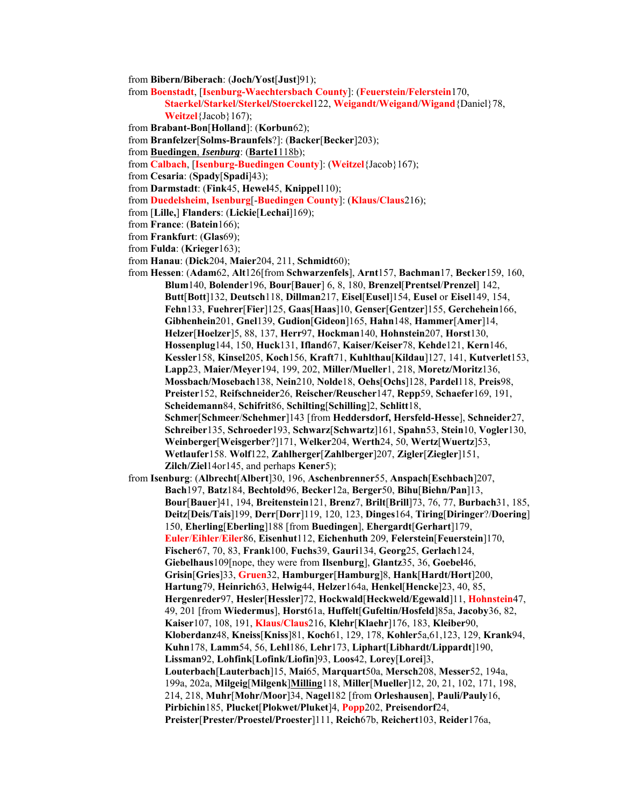from **Bibern/Biberach**: (**Joch/Yost**[**Just**]91);

from **Boenstadt**, [**Isenburg-Waechtersbach County**]: (**Feuerstein/Felerstein**170,

- **Staerkel**/**Starkel**/**Sterkel/Stoerckel**122, **Weigandt/Weigand**/**Wigand**{Daniel}78, **Weitzel**{Jacob}167);
- from **Brabant-Bon**[**Holland**]: (**Korbun**62);

from **Branfelzer**[**Solms-Braunfels**?]: (**Backer**[**Becker**]203);

from **Buedingen**, *Isenburg*: (**Barte1**118b);

from **Calbach**, [**Isenburg-Buedingen County**]: (**Weitzel**{Jacob}167);

from **Cesaria**: (**Spady**[**Spadi**]43);

- from **Darmstadt**: (**Fink**45, **Hewel**45, **Knippel**110);
- from **Duedelsheim**, **Isenburg**[-**Buedingen County**]: (**Klaus/Claus**216);
- from [**Lille,**] **Flanders**: (**Lickie**[**Lechai**]169);
- from **France**: (**Batein**166);
- from **Frankfurt**: (**Glas**69);

from **Fulda**: (**Krieger**163);

from **Hanau**: (**Dick**204, **Maier**204, 211, **Schmidt**60);

from **Hessen**: (**Adam**62, **Alt**126[from **Schwarzenfels**], **Arnt**157, **Bachman**17, **Becker**159, 160, **Blum**140, **Bolender**196, **Bour**[**Bauer**] 6, 8, 180, **Brenzel**[**Prentsel**/**Prenzel**] 142, **Butt**[**Bott**]132, **Deutsch**118, **Dillman**217, **Eisel**[**Eusel**]154, **Eusel** or **Eisel**149, 154, **Fehn**133, **Fuehrer**[**Fier**]125, **Gaas**[**Haas**]10, **Genser**[**Gentzer**]155, **Gerchehein**166, **Gibhenhein**201, **Gnel**139, **Gudion**[**Gideon**]165, **Hahn**148, **Hammer**[**Amer**]14, **Helzer**[**Hoelzer**]5, 88, 137, **Herr**97, **Hockman**140, **Hohnstein**207, **Horst**130, **Hossenplug**144, 150, **Huck**131, **Ifland**67, **Kaiser/Keiser**78, **Kehde**121, **Kern**146, **Kessler**158, **Kinsel**205, **Koch**156, **Kraft**71, **Kuhlthau**[**Kildau**]127, 141, **Kutverlet**153, **Lapp**23, **Maier/Meyer**194, 199, 202, **Miller/Mueller**1, 218, **Moretz/Moritz**136, **Mossbach/Mosebach**138, **Nein**210, **Nolde**18, **Oehs**[**Ochs**]128, **Pardel**118, **Preis**98, **Preister**152, **Reifschneider**26, **Reischer/Reuscher**147, **Repp**59, **Schaefer**169, 191, **Scheidemann**84, **Schifrit**86, **Schilting**[**Schilling**]2, **Schlitt**18, **Schmer**[**Schmeer**/**Schehmer**]143 [from **Heddersdorf, Hersfeld-Hesse**], **Schneider**27, **Schreiber**135, **Schroeder**193, **Schwarz**[**Schwartz**]161, **Spahn**53, **Stein**10, **Vogler**130, **Weinberger**[**Weisgerber**?]171, **Welker**204, **Werth**24, 50, **Wertz**[**Wuertz**]53, **Wetlaufer**158. **Wolf**122, **Zahlherger**[**Zahlberger**]207, **Zigler**[**Ziegler**]151, **Zilch/Ziel**14or145, and perhaps **Kener**5);

from **Isenburg**: (**Albrecht**[**Albert**]30, 196, **Aschenbrenner**55, **Anspach**[**Eschbach**]207, **Bach**197, **Batz**184, **Bechtold**96, **Becker**12a, **Berger**50, **Bihu**[**Biehn/Pan**]13, **Bour**[**Bauer**]41, 194, **Breitenstein**121, **Brenz**7, **Brilt**[**Brill**]73, 76, 77, **Burbach**31, 185, **Deitz**[**Deis/Tais**]199, **Derr**[**Dorr**]119, 120, 123, **Dinges**164, **Tiring**[**Diringer**?/**Doering**] 150, **Eherling**[**Eberling**]188 [from **Buedingen**], **Ehergardt**[**Gerhart**]179, **Euler**/**Eihler**/**Eiler**86, **Eisenhut**112, **Eichenhuth** 209, **Felerstein**[**Feuerstein**]170, **Fischer**67, 70, 83, **Frank**100, **Fuchs**39, **Gauri**134, **Georg**25, **Gerlach**124, **Giebelhaus**109[nope, they were from **Ilsenburg**], **Glantz**35, 36, **Goebel**46, **Grisin**[**Gries**]33, **Gruen**32, **Hamburger**[**Hamburg**]8, **Hank**[**Hardt/Hort**]200, **Hartung**79, **Heinrich**63, **Helwig**44, **Helzer**164a, **Henkel**[**Hencke**]23, 40, 85, **Hergenreder**97, **Hesler**[**Hessler**]72, **Hockwald**[**Heckweld/Egewald**]11, **Hohnstein**47, 49, 201 [from **Wiedermus**], **Horst**61a, **Huffelt**[**Gufeltin/Hosfeld**]85a, **Jacoby**36, 82, **Kaiser**107, 108, 191, **Klaus/Claus**216, **Klehr**[**Klaehr**]176, 183, **Kleiber**90, **Kloberdanz**48, **Kneiss**[**Kniss**]81, **Koch**61, 129, 178, **Kohler**5a,61,123, 129, **Krank**94, **Kuhn**178, **Lamm**54, 56, **Lehl**186, **Lehr**173, **Liphart**[**Libhardt/Lippardt**]190, **Lissman**92, **Lohfink**[**Lofink/Liofin**]93, **Loos**42, **Lorey**[**Lorei**]3, **Louterbach**[**Lauterbach**]15, **Mai**65, **Marquart**50a, **Mersch**208, **Messer**52, 194a, 199a, 202a, **Milgeig**[**Milgenk**]**Milling**118, **Miller**[**Mueller**]12, 20, 21, 102, 171, 198, 214, 218, **Muhr**[**Mohr/Moor**]34, **Nagel**182 [from **Orleshausen**], **Pauli/Pauly**16, **Pirbichin**185, **Plucket**[**Plokwet/Pluket**]4, **Popp**202, **Preisendorf**24, **Preister**[**Prester/Proestel/Proester**]111, **Reich**67b, **Reichert**103, **Reider**176a,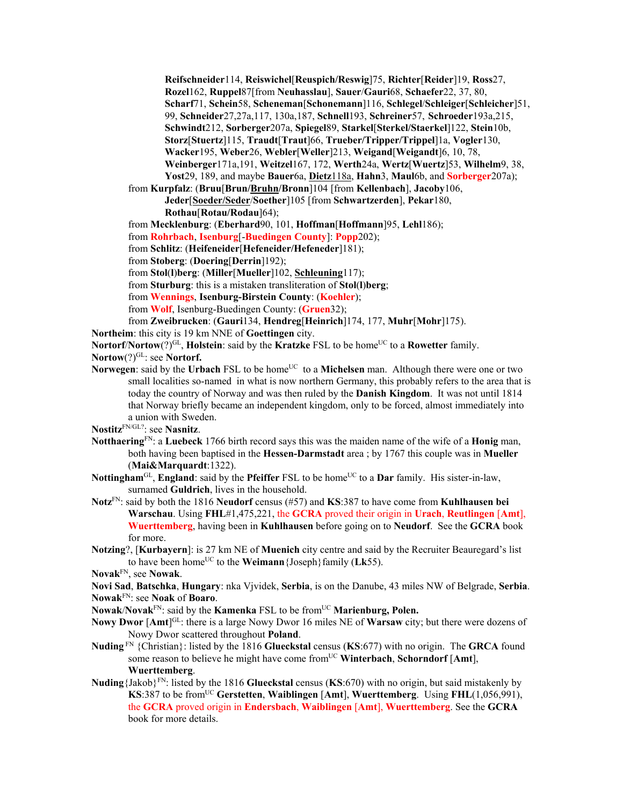**Reifschneider**114, **Reiswichel**[**Reuspich/Reswig**]75, **Richter**[**Reider**]19, **Ross**27, **Rozel**162, **Ruppel**87[from **Neuhasslau**], **Sauer**/**Gauri**68, **Schaefer**22, 37, 80, **Scharf**71, **Schein**58, **Scheneman**[**Schonemann**]116, **Schlegel**/**Schleiger**[**Schleicher**]51, 99, **Schneider**27,27a,117, 130a,187, **Schnell**193, **Schreiner**57, **Schroeder**193a,215, **Schwindt**212, **Sorberger**207a, **Spiegel**89, **Starkel**[**Sterkel/Staerkel**]122, **Stein**10b, **Storz**[**Stuertz**]115, **Traudt**[**Traut**]66, **Trueber/Tripper/Trippel**]1a, **Vogler**130, **Wacker**195, **Weber**26, **Webler**[**Weller**]213, **Weigand**[**Weigandt**]6, 10, 78, **Weinberger**171a,191, **Weitzel**167, 172, **Werth**24a, **Wertz**[**Wuertz**]53, **Wilhelm**9, 38, **Yost**29, 189, and maybe **Bauer**6a, **Dietz**118a, **Hahn**3, **Maul**6b, and **Sorberger**207a);

from **Kurpfalz**: (**Bruu**[**Brun/Bruhn/Bronn**]104 [from **Kellenbach**], **Jacoby**106, **Jeder**[**Soeder/Seder**/**Soether**]105 [from **Schwartzerden**], **Pekar**180, **Rothau**[**Rotau/Rodau**]64);

from **Mecklenburg**: (**Eberhard**90, 101, **Hoffman**[**Hoffmann**]95, **Lehl**186);

from **Rohrbach**, **Isenburg**[-**Buedingen County**]: **Popp**202);

from **Schlitz**: (**Heifeneider**[**Hefeneider/Hefeneder**]181);

from **Stoberg**: (**Doering**[**Derrin**]192);

from **Stol**(**l**)**berg**: (**Miller**[**Mueller**]102, **Schleuning**117);

from **Sturburg**: this is a mistaken transliteration of **Stol**(**l**)**berg**;

from **Wennings**, **Isenburg-Birstein County**: (**Koehler**);

from **Wolf**, Isenburg-Buedingen County: (**Gruen**32);

from **Zweibrucken**: (**Gauri**134, **Hendreg**[**Heinrich**]174, 177, **Muhr**[**Mohr**]175).

**Northeim**: this city is 19 km NNE of **Goettingen** city.

**Nortorf/Nortow**(?)<sup>GL</sup>, **Holstein**: said by the **Kratzke** FSL to be home<sup>UC</sup> to a **Rowetter** family.

- Nortow(?)<sup>GL</sup>: see **Nortorf.**
- **Norwegen**: said by the **Urbach** FSL to be home<sup>UC</sup> to a **Michelsen** man. Although there were one or two small localities so-named in what is now northern Germany, this probably refers to the area that is today the country of Norway and was then ruled by the **Danish Kingdom**. It was not until 1814 that Norway briefly became an independent kingdom, only to be forced, almost immediately into a union with Sweden.

**Nostitz**FN/GL?: see **Nasnitz**.

- **Notthaering**FN: a **Luebeck** 1766 birth record says this was the maiden name of the wife of a **Honig** man, both having been baptised in the **Hessen-Darmstadt** area ; by 1767 this couple was in **Mueller** (**Mai&Marquardt**:1322).
- **Nottingham**<sup>GL</sup>, **England**: said by the **Pfeiffer** FSL to be home<sup>UC</sup> to a **Dar** family. His sister-in-law, surnamed **Guldrich**, lives in the household.
- **Notz**FN: said by both the 1816 **Neudorf** census (#57) and **KS**:387 to have come from **Kuhlhausen bei Warschau**. Using **FHL**#1,475,221, the **GCRA** proved their origin in **Urach**, **Reutlingen** [**Amt**], **Wuerttemberg**, having been in **Kuhlhausen** before going on to **Neudorf**. See the **GCRA** book for more.
- **Notzing**?, [**Kurbayern**]: is 27 km NE of **Muenich** city centre and said by the Recruiter Beauregard's list to have been homeUC to the **Weimann**{Joseph}family (**Lk**55).
- **Novak**FN, see **Nowak**.
- **Novi Sad**, **Batschka**, **Hungary**: nka Vjvidek, **Serbia**, is on the Danube, 43 miles NW of Belgrade, **Serbia**. **Nowak**FN: see **Noak** of **Boaro**.
- **Nowak/Novak**<sup>FN</sup>: said by the **Kamenka** FSL to be from<sup>UC</sup> **Marienburg, Polen.**
- **Nowy Dwor** [Amt]<sup>GL</sup>: there is a large Nowy Dwor 16 miles NE of **Warsaw** city; but there were dozens of Nowy Dwor scattered throughout **Poland**.
- **Nuding** FN {Christian}: listed by the 1816 **Glueckstal** census (**KS**:677) with no origin. The **GRCA** found some reason to believe he might have come fromUC **Winterbach**, **Schorndorf** [**Amt**], **Wuerttemberg**.
- **Nuding**{Jakob}FN: listed by the 1816 **Glueckstal** census (**KS**:670) with no origin, but said mistakenly by **KS**:387 to be fromUC **Gerstetten**, **Waiblingen** [**Amt**], **Wuerttemberg**. Using **FHL**(1,056,991), the **GCRA** proved origin in **Endersbach**, **Waiblingen** [**Amt**], **Wuerttemberg**. See the **GCRA** book for more details.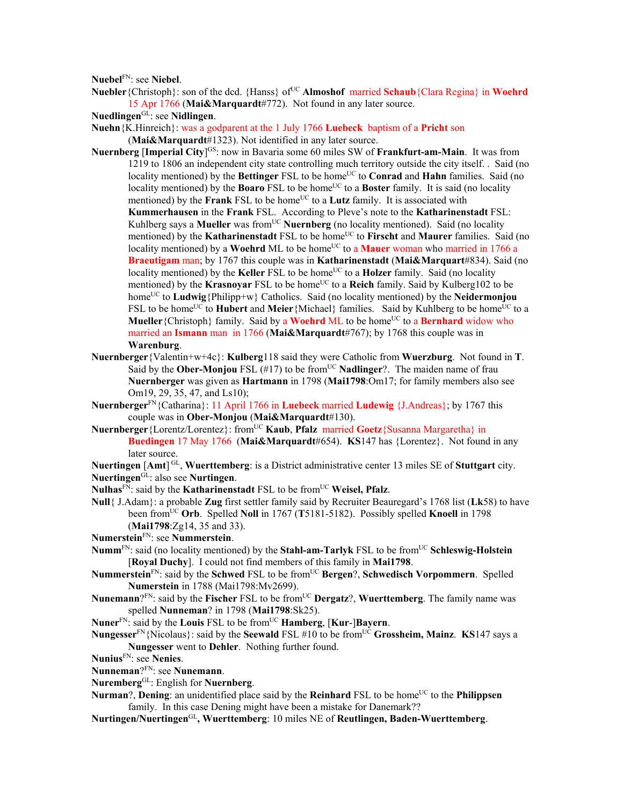**Nuebel**FN: see **Niebel**.

**Nuebler**{Christoph}: son of the dcd. {Hanss} of<sup>UC</sup> **Almoshof** married **Schaub**{Clara Regina} in **Woehrd** 15 Apr 1766 (**Mai&Marquardt**#772). Not found in any later source.

**Nuedlingen**GL: see **Nidlingen**.

- **Nuehn**{K.Hinreich}: was a godparent at the 1 July 1766 **Luebeck** baptism of a **Pricht** son (**Mai&Marquardt**#1323). Not identified in any later source.
- **Nuernberg [Imperial City**]<sup>GS</sup>: now in Bavaria some 60 miles SW of **Frankfurt-am-Main**. It was from 1219 to 1806 an independent city state controlling much territory outside the city itself. . Said (no locality mentioned) by the **Bettinger** FSL to be home<sup>UC</sup> to **Conrad and Hahn** families. Said (no locality mentioned) by the **Boaro** FSL to be home<sup>UC</sup> to a **Boster** family. It is said (no locality) mentioned) by the **Frank** FSL to be home<sup>UC</sup> to a **Lutz** family. It is associated with **Kummerhausen** in the **Frank** FSL. According to Pleve's note to the **Katharinenstadt** FSL: Kuhlberg says a **Mueller** was from<sup>UC</sup> **Nuernberg** (no locality mentioned). Said (no locality mentioned) by the **Katharinenstadt** FSL to be home<sup>UC</sup> to Firscht and Maurer families. Said (no locality mentioned) by a **Woehrd** ML to be home<sup>UC</sup> to a **Mauer** woman who married in 1766 a **Braeutigam** man; by 1767 this couple was in **Katharinenstadt** (**Mai&Marquart**#834). Said (no locality mentioned) by the **Keller** FSL to be home<sup>UC</sup> to a **Holzer** family. Said (no locality mentioned) by the **Krasnovar** FSL to be home<sup>UC</sup> to a **Reich** family. Said by Kulberg102 to be home<sup>UC</sup> to **Ludwig**{Philipp+w} Catholics. Said (no locality mentioned) by the **Neidermonjou** FSL to be home<sup>UC</sup> to **Hubert** and **Meier**{Michael} families. Said by Kuhlberg to be home<sup>UC</sup> to a **Mueller** {Christoph} family. Said by a **Woehrd** ML to be home<sup>UC</sup> to a **Bernhard** widow who married an **Ismann** man in 1766 (**Mai&Marquardt**#767); by 1768 this couple was in **Warenburg**.
- **Nuernberger**{Valentin+w+4c}: **Kulberg**118 said they were Catholic from **Wuerzburg**. Not found in **T**. Said by the **Ober-Monjou** FSL (#17) to be from<sup>UC</sup> **Nadlinger**?. The maiden name of frau **Nuernberger** was given as **Hartmann** in 1798 (**Mai1798**:Om17; for family members also see Om19, 29, 35, 47, and Ls10);
- **Nuernberger**FN{Catharina}: 11 April 1766 in **Luebeck** married **Ludewig** {J.Andreas}; by 1767 this couple was in **Ober-Monjou** (**Mai&Marquardt**#130).
- $N$ uernberger<sup>{Lorentz/Lorentez}: from<sup>UC</sup> **Kaub**, **Pfalz** married **Goetz**{Susanna Margaretha} in</sup> **Buedingen** 17 May 1766 (**Mai&Marquardt**#654). **KS**147 has {Lorentez}. Not found in any later source.
- Nuertingen [Amt]<sup>GL</sup>, Wuerttemberg: is a District administrative center 13 miles SE of Stuttgart city. **Nuertingen**GL: also see **Nurtingen**.
- Nulhas<sup>FN</sup>: said by the **Katharinenstadt** FSL to be from<sup>UC</sup> Weisel, Pfalz.
- **Null**{ J.Adam}: a probable **Zug** first settler family said by Recruiter Beauregard's 1768 list (**Lk**58) to have been fromUC **Orb**. Spelled **Noll** in 1767 (**T**5181-5182). Possibly spelled **Knoell** in 1798 (**Mai1798**:Zg14, 35 and 33).
- **Numerstein**FN: see **Nummerstein**.
- **Numm**FN: said (no locality mentioned) by the **Stahl-am-Tarlyk** FSL to be fromUC **Schleswig-Holstein** [**Royal Duchy**]. I could not find members of this family in **Mai1798**.
- **Nummerstein**FN: said by the **Schwed** FSL to be fromUC **Bergen**?, **Schwedisch Vorpommern**. Spelled **Numerstein** in 1788 (Mai1798:Mv2699).
- **Nunemann**?<sup>FN</sup>: said by the **Fischer** FSL to be from<sup>UC</sup> **Dergatz**?, **Wuerttemberg**. The family name was spelled **Nunneman**? in 1798 (**Mai1798**:Sk25).
- **Nuner**FN: said by the **Louis** FSL to be fromUC **Hamberg**, [**Kur**-]**Bayern**.
- **Nungesser**FN{Nicolaus}: said by the **Seewald** FSL #10 to be fromUC **Grossheim, Mainz**. **KS**147 says a **Nungesser** went to **Dehler**. Nothing further found.
- **Nunius**FN: see **Nenies**.
- **Nunneman**?FN: see **Nunemann**.
- **Nuremberg**GL: English for **Nuernberg**.
- **Nurman**?, **Dening**: an unidentified place said by the **Reinhard** FSL to be home<sup>UC</sup> to the **Philippsen** family. In this case Dening might have been a mistake for Danemark??
- **Nurtingen/Nuertingen**GL**, Wuerttemberg**: 10 miles NE of **Reutlingen, Baden-Wuerttemberg**.